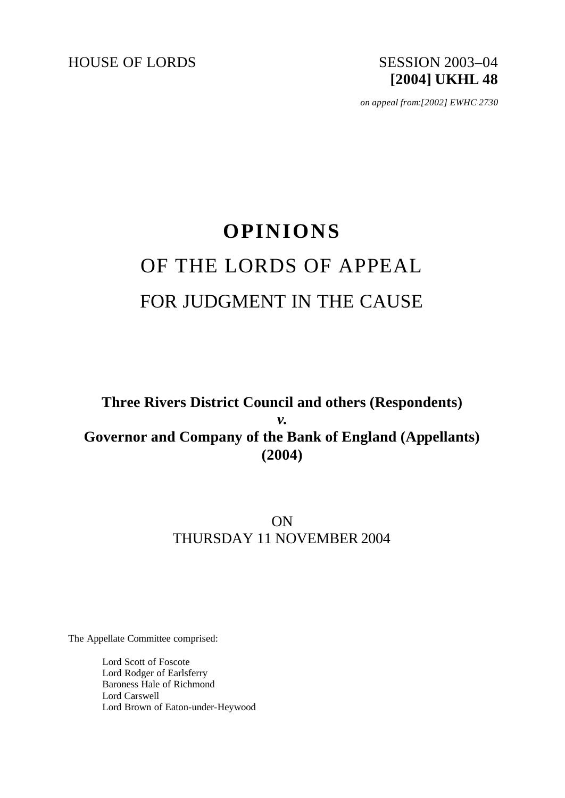HOUSE OF LORDS SESSION 2003-04



*on appeal from:[2002] EWHC 2730*

# **OPINIONS** OF THE LORDS OF APPEAL FOR JUDGMENT IN THE CAUSE

# **Three Rivers District Council and others (Respondents)**  *v.* **Governor and Company of the Bank of England (Appellants) (2004)**

# ON THURSDAY 11 NOVEMBER 2004

The Appellate Committee comprised:

Lord Scott of Foscote Lord Rodger of Earlsferry Baroness Hale of Richmond Lord Carswell Lord Brown of Eaton-under-Heywood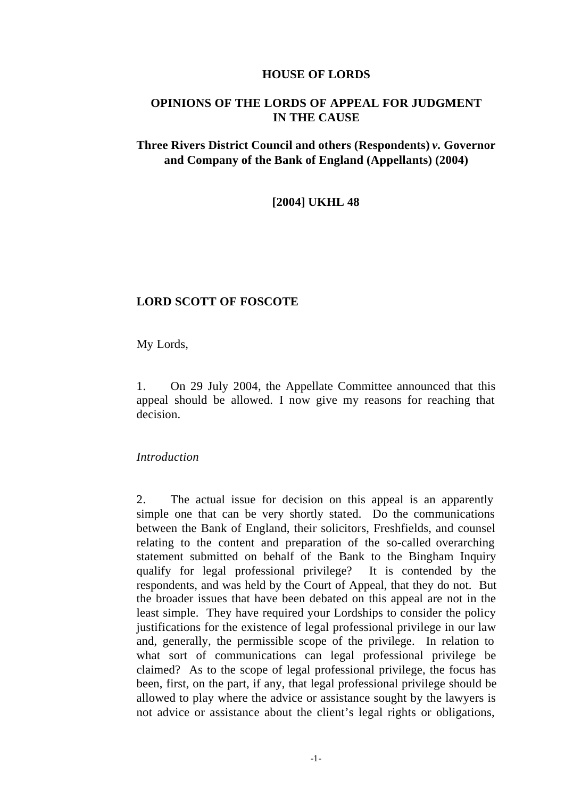#### **HOUSE OF LORDS**

# **OPINIONS OF THE LORDS OF APPEAL FOR JUDGMENT IN THE CAUSE**

# **Three Rivers District Council and others (Respondents)** *v.* **Governor and Company of the Bank of England (Appellants) (2004)**

**[2004] UKHL 48**

#### **LORD SCOTT OF FOSCOTE**

My Lords,

1. On 29 July 2004, the Appellate Committee announced that this appeal should be allowed. I now give my reasons for reaching that decision.

*Introduction*

2. The actual issue for decision on this appeal is an apparently simple one that can be very shortly stated. Do the communications between the Bank of England, their solicitors, Freshfields, and counsel relating to the content and preparation of the so-called overarching statement submitted on behalf of the Bank to the Bingham Inquiry qualify for legal professional privilege? It is contended by the respondents, and was held by the Court of Appeal, that they do not. But the broader issues that have been debated on this appeal are not in the least simple. They have required your Lordships to consider the policy justifications for the existence of legal professional privilege in our law and, generally, the permissible scope of the privilege. In relation to what sort of communications can legal professional privilege be claimed? As to the scope of legal professional privilege, the focus has been, first, on the part, if any, that legal professional privilege should be allowed to play where the advice or assistance sought by the lawyers is not advice or assistance about the client's legal rights or obligations,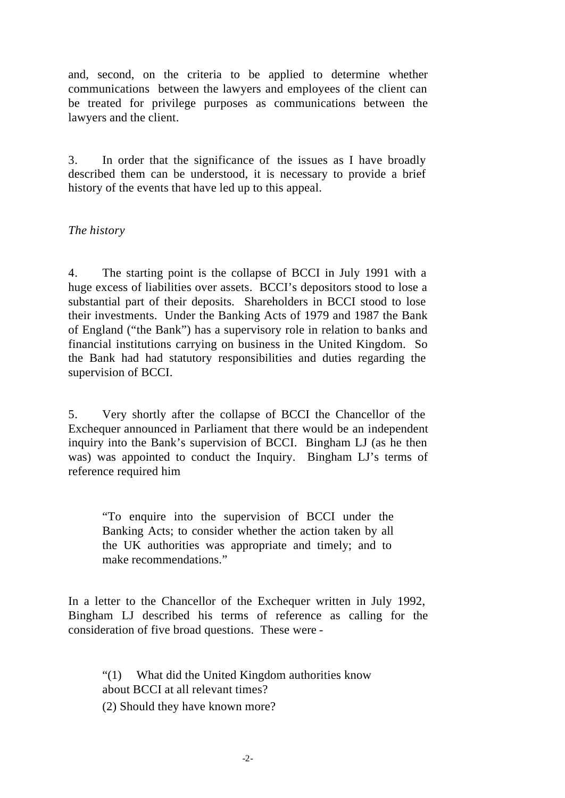and, second, on the criteria to be applied to determine whether communications between the lawyers and employees of the client can be treated for privilege purposes as communications between the lawyers and the client.

3. In order that the significance of the issues as I have broadly described them can be understood, it is necessary to provide a brief history of the events that have led up to this appeal.

# *The history*

4. The starting point is the collapse of BCCI in July 1991 with a huge excess of liabilities over assets. BCCI's depositors stood to lose a substantial part of their deposits. Shareholders in BCCI stood to lose their investments. Under the Banking Acts of 1979 and 1987 the Bank of England ("the Bank") has a supervisory role in relation to banks and financial institutions carrying on business in the United Kingdom. So the Bank had had statutory responsibilities and duties regarding the supervision of BCCI.

5. Very shortly after the collapse of BCCI the Chancellor of the Exchequer announced in Parliament that there would be an independent inquiry into the Bank's supervision of BCCI. Bingham LJ (as he then was) was appointed to conduct the Inquiry. Bingham LJ's terms of reference required him

"To enquire into the supervision of BCCI under the Banking Acts; to consider whether the action taken by all the UK authorities was appropriate and timely; and to make recommendations."

In a letter to the Chancellor of the Exchequer written in July 1992, Bingham LJ described his terms of reference as calling for the consideration of five broad questions. These were -

"(1) What did the United Kingdom authorities know about BCCI at all relevant times? (2) Should they have known more?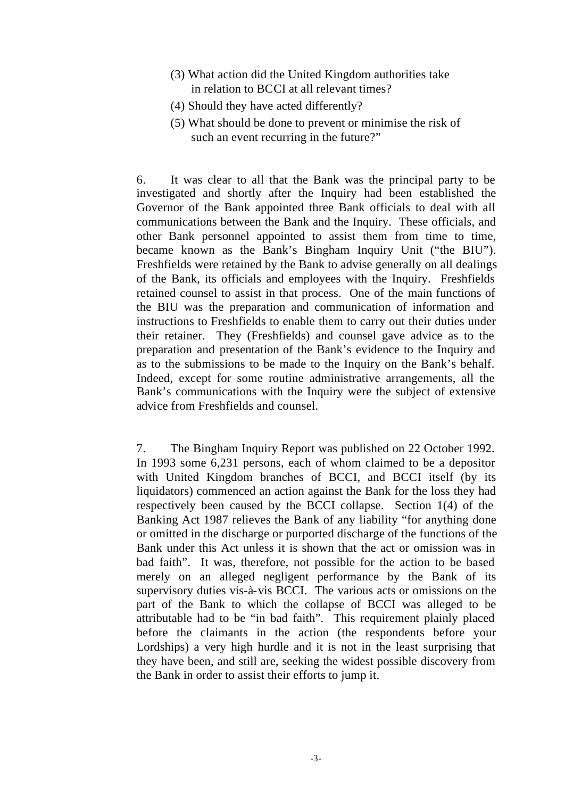- (3) What action did the United Kingdom authorities take in relation to BCCI at all relevant times?
- (4) Should they have acted differently?
- (5) What should be done to prevent or minimise the risk of such an event recurring in the future?"

6. It was clear to all that the Bank was the principal party to be investigated and shortly after the Inquiry had been established the Governor of the Bank appointed three Bank officials to deal with all communications between the Bank and the Inquiry. These officials, and other Bank personnel appointed to assist them from time to time, became known as the Bank's Bingham Inquiry Unit ("the BIU"). Freshfields were retained by the Bank to advise generally on all dealings of the Bank, its officials and employees with the Inquiry. Freshfields retained counsel to assist in that process. One of the main functions of the BIU was the preparation and communication of information and instructions to Freshfields to enable them to carry out their duties under their retainer. They (Freshfields) and counsel gave advice as to the preparation and presentation of the Bank's evidence to the Inquiry and as to the submissions to be made to the Inquiry on the Bank's behalf. Indeed, except for some routine administrative arrangements, all the Bank's communications with the Inquiry were the subject of extensive advice from Freshfields and counsel.

7. The Bingham Inquiry Report was published on 22 October 1992. In 1993 some 6,231 persons, each of whom claimed to be a depositor with United Kingdom branches of BCCI, and BCCI itself (by its liquidators) commenced an action against the Bank for the loss they had respectively been caused by the BCCI collapse. Section 1(4) of the Banking Act 1987 relieves the Bank of any liability "for anything done or omitted in the discharge or purported discharge of the functions of the Bank under this Act unless it is shown that the act or omission was in bad faith". It was, therefore, not possible for the action to be based merely on an alleged negligent performance by the Bank of its supervisory duties vis-à-vis BCCI. The various acts or omissions on the part of the Bank to which the collapse of BCCI was alleged to be attributable had to be "in bad faith". This requirement plainly placed before the claimants in the action (the respondents before your Lordships) a very high hurdle and it is not in the least surprising that they have been, and still are, seeking the widest possible discovery from the Bank in order to assist their efforts to jump it.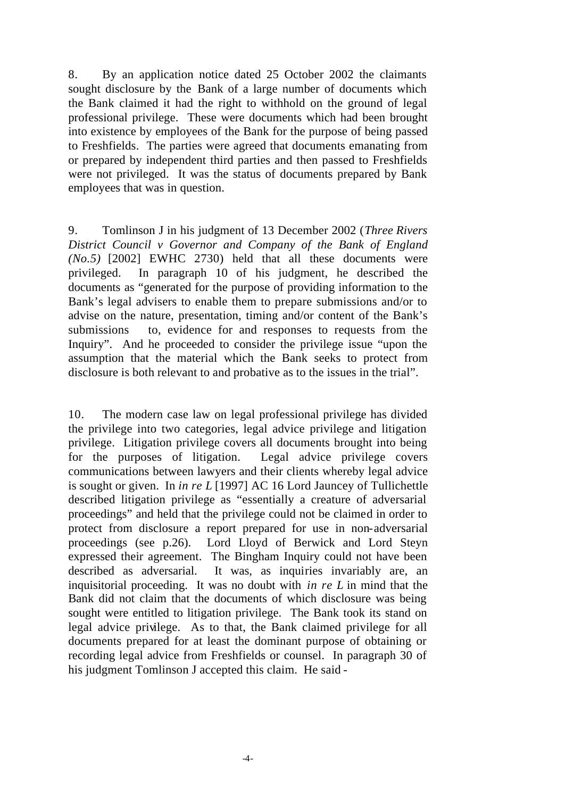8. By an application notice dated 25 October 2002 the claimants sought disclosure by the Bank of a large number of documents which the Bank claimed it had the right to withhold on the ground of legal professional privilege. These were documents which had been brought into existence by employees of the Bank for the purpose of being passed to Freshfields. The parties were agreed that documents emanating from or prepared by independent third parties and then passed to Freshfields were not privileged. It was the status of documents prepared by Bank employees that was in question.

9. Tomlinson J in his judgment of 13 December 2002 (*Three Rivers District Council v Governor and Company of the Bank of England (No.5)* [2002] EWHC 2730) held that all these documents were privileged. In paragraph 10 of his judgment, he described the documents as "generated for the purpose of providing information to the Bank's legal advisers to enable them to prepare submissions and/or to advise on the nature, presentation, timing and/or content of the Bank's submissions to, evidence for and responses to requests from the Inquiry". And he proceeded to consider the privilege issue "upon the assumption that the material which the Bank seeks to protect from disclosure is both relevant to and probative as to the issues in the trial".

10. The modern case law on legal professional privilege has divided the privilege into two categories, legal advice privilege and litigation privilege. Litigation privilege covers all documents brought into being for the purposes of litigation. Legal advice privilege covers communications between lawyers and their clients whereby legal advice is sought or given. In *in re L* [1997] AC 16 Lord Jauncey of Tullichettle described litigation privilege as "essentially a creature of adversarial proceedings" and held that the privilege could not be claimed in order to protect from disclosure a report prepared for use in non-adversarial proceedings (see p.26). Lord Lloyd of Berwick and Lord Steyn expressed their agreement. The Bingham Inquiry could not have been described as adversarial. It was, as inquiries invariably are, an inquisitorial proceeding. It was no doubt with *in re L* in mind that the Bank did not claim that the documents of which disclosure was being sought were entitled to litigation privilege. The Bank took its stand on legal advice privilege. As to that, the Bank claimed privilege for all documents prepared for at least the dominant purpose of obtaining or recording legal advice from Freshfields or counsel. In paragraph 30 of his judgment Tomlinson J accepted this claim. He said -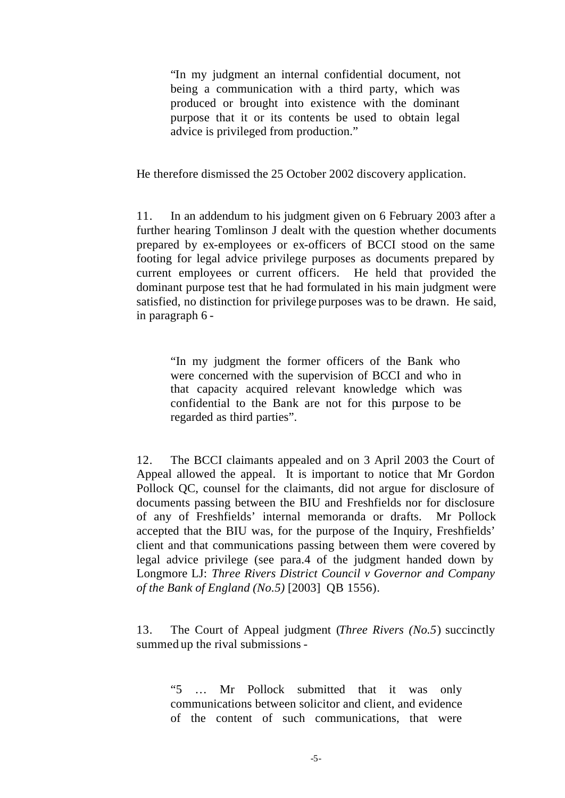"In my judgment an internal confidential document, not being a communication with a third party, which was produced or brought into existence with the dominant purpose that it or its contents be used to obtain legal advice is privileged from production."

He therefore dismissed the 25 October 2002 discovery application.

11. In an addendum to his judgment given on 6 February 2003 after a further hearing Tomlinson J dealt with the question whether documents prepared by ex-employees or ex-officers of BCCI stood on the same footing for legal advice privilege purposes as documents prepared by current employees or current officers. He held that provided the dominant purpose test that he had formulated in his main judgment were satisfied, no distinction for privilege purposes was to be drawn. He said, in paragraph 6 -

"In my judgment the former officers of the Bank who were concerned with the supervision of BCCI and who in that capacity acquired relevant knowledge which was confidential to the Bank are not for this purpose to be regarded as third parties".

12. The BCCI claimants appealed and on 3 April 2003 the Court of Appeal allowed the appeal. It is important to notice that Mr Gordon Pollock QC, counsel for the claimants, did not argue for disclosure of documents passing between the BIU and Freshfields nor for disclosure of any of Freshfields' internal memoranda or drafts. Mr Pollock accepted that the BIU was, for the purpose of the Inquiry, Freshfields' client and that communications passing between them were covered by legal advice privilege (see para.4 of the judgment handed down by Longmore LJ: *Three Rivers District Council v Governor and Company of the Bank of England (No.5)* [2003] QB 1556).

13. The Court of Appeal judgment (*Three Rivers (No.5*) succinctly summed up the rival submissions -

"5 … Mr Pollock submitted that it was only communications between solicitor and client, and evidence of the content of such communications, that were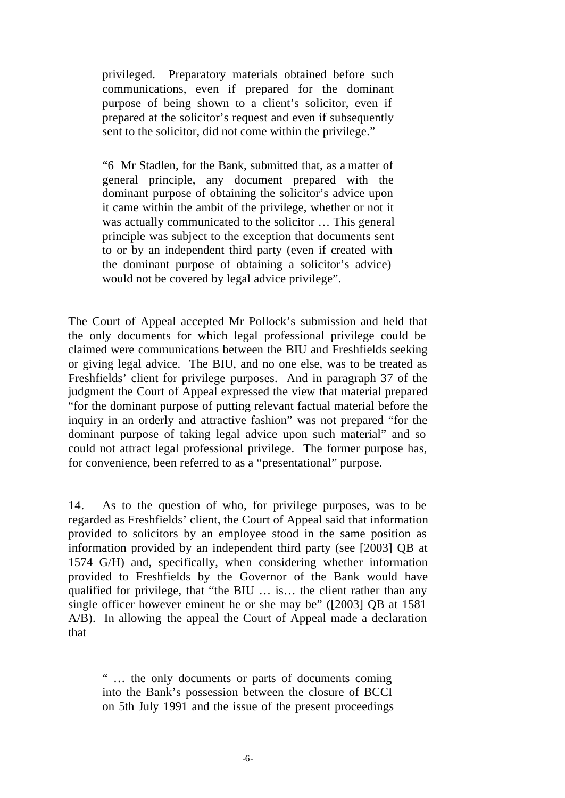privileged. Preparatory materials obtained before such communications, even if prepared for the dominant purpose of being shown to a client's solicitor, even if prepared at the solicitor's request and even if subsequently sent to the solicitor, did not come within the privilege."

"6 Mr Stadlen, for the Bank, submitted that, as a matter of general principle, any document prepared with the dominant purpose of obtaining the solicitor's advice upon it came within the ambit of the privilege, whether or not it was actually communicated to the solicitor … This general principle was subject to the exception that documents sent to or by an independent third party (even if created with the dominant purpose of obtaining a solicitor's advice) would not be covered by legal advice privilege".

The Court of Appeal accepted Mr Pollock's submission and held that the only documents for which legal professional privilege could be claimed were communications between the BIU and Freshfields seeking or giving legal advice. The BIU, and no one else, was to be treated as Freshfields' client for privilege purposes. And in paragraph 37 of the judgment the Court of Appeal expressed the view that material prepared "for the dominant purpose of putting relevant factual material before the inquiry in an orderly and attractive fashion" was not prepared "for the dominant purpose of taking legal advice upon such material" and so could not attract legal professional privilege. The former purpose has, for convenience, been referred to as a "presentational" purpose.

14. As to the question of who, for privilege purposes, was to be regarded as Freshfields' client, the Court of Appeal said that information provided to solicitors by an employee stood in the same position as information provided by an independent third party (see [2003] QB at 1574 G/H) and, specifically, when considering whether information provided to Freshfields by the Governor of the Bank would have qualified for privilege, that "the BIU … is… the client rather than any single officer however eminent he or she may be" ([2003] QB at 1581 A/B). In allowing the appeal the Court of Appeal made a declaration that

" … the only documents or parts of documents coming into the Bank's possession between the closure of BCCI on 5th July 1991 and the issue of the present proceedings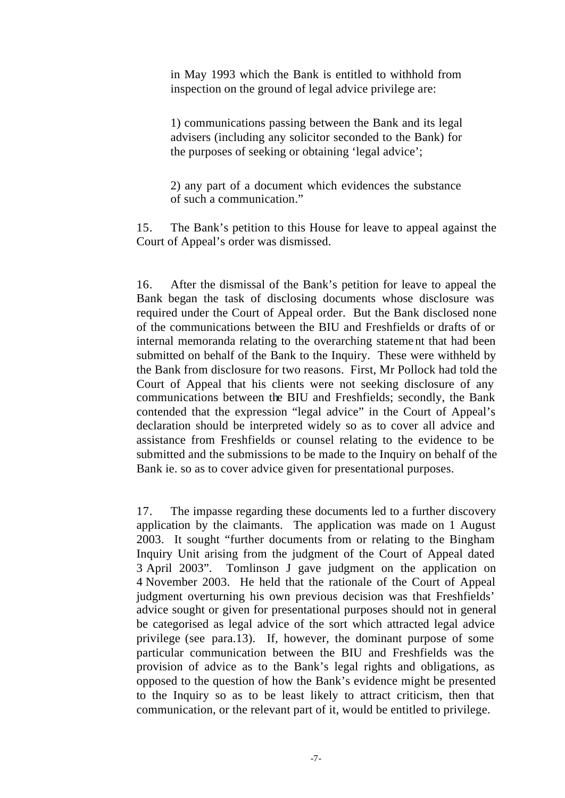in May 1993 which the Bank is entitled to withhold from inspection on the ground of legal advice privilege are:

1) communications passing between the Bank and its legal advisers (including any solicitor seconded to the Bank) for the purposes of seeking or obtaining 'legal advice';

2) any part of a document which evidences the substance of such a communication."

15. The Bank's petition to this House for leave to appeal against the Court of Appeal's order was dismissed.

16. After the dismissal of the Bank's petition for leave to appeal the Bank began the task of disclosing documents whose disclosure was required under the Court of Appeal order. But the Bank disclosed none of the communications between the BIU and Freshfields or drafts of or internal memoranda relating to the overarching statement that had been submitted on behalf of the Bank to the Inquiry. These were withheld by the Bank from disclosure for two reasons. First, Mr Pollock had told the Court of Appeal that his clients were not seeking disclosure of any communications between the BIU and Freshfields; secondly, the Bank contended that the expression "legal advice" in the Court of Appeal's declaration should be interpreted widely so as to cover all advice and assistance from Freshfields or counsel relating to the evidence to be submitted and the submissions to be made to the Inquiry on behalf of the Bank ie. so as to cover advice given for presentational purposes.

17. The impasse regarding these documents led to a further discovery application by the claimants. The application was made on 1 August 2003. It sought "further documents from or relating to the Bingham Inquiry Unit arising from the judgment of the Court of Appeal dated 3 April 2003". Tomlinson J gave judgment on the application on 4 November 2003. He held that the rationale of the Court of Appeal judgment overturning his own previous decision was that Freshfields' advice sought or given for presentational purposes should not in general be categorised as legal advice of the sort which attracted legal advice privilege (see para.13). If, however, the dominant purpose of some particular communication between the BIU and Freshfields was the provision of advice as to the Bank's legal rights and obligations, as opposed to the question of how the Bank's evidence might be presented to the Inquiry so as to be least likely to attract criticism, then that communication, or the relevant part of it, would be entitled to privilege.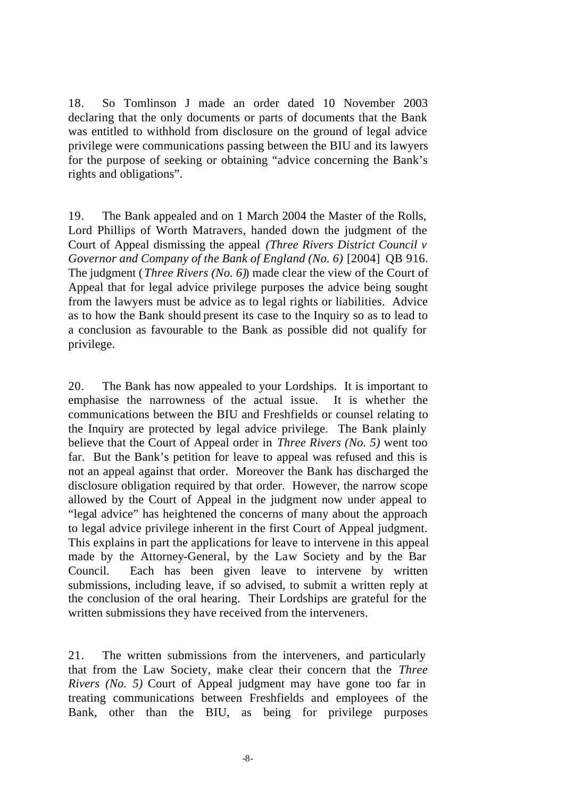18. So Tomlinson J made an order dated 10 November 2003 declaring that the only documents or parts of documents that the Bank was entitled to withhold from disclosure on the ground of legal advice privilege were communications passing between the BIU and its lawyers for the purpose of seeking or obtaining "advice concerning the Bank's rights and obligations".

19. The Bank appealed and on 1 March 2004 the Master of the Rolls, Lord Phillips of Worth Matravers, handed down the judgment of the Court of Appeal dismissing the appeal *(Three Rivers District Council v Governor and Company of the Bank of England (No. 6)* [2004] QB 916. The judgment (*Three Rivers (No. 6)*) made clear the view of the Court of Appeal that for legal advice privilege purposes the advice being sought from the lawyers must be advice as to legal rights or liabilities. Advice as to how the Bank should present its case to the Inquiry so as to lead to a conclusion as favourable to the Bank as possible did not qualify for privilege.

20. The Bank has now appealed to your Lordships. It is important to emphasise the narrowness of the actual issue. It is whether the communications between the BIU and Freshfields or counsel relating to the Inquiry are protected by legal advice privilege. The Bank plainly believe that the Court of Appeal order in *Three Rivers (No. 5)* went too far. But the Bank's petition for leave to appeal was refused and this is not an appeal against that order. Moreover the Bank has discharged the disclosure obligation required by that order. However, the narrow scope allowed by the Court of Appeal in the judgment now under appeal to "legal advice" has heightened the concerns of many about the approach to legal advice privilege inherent in the first Court of Appeal judgment. This explains in part the applications for leave to intervene in this appeal made by the Attorney-General, by the Law Society and by the Bar Council. Each has been given leave to intervene by written submissions, including leave, if so advised, to submit a written reply at the conclusion of the oral hearing. Their Lordships are grateful for the written submissions they have received from the interveners.

21. The written submissions from the interveners, and particularly that from the Law Society, make clear their concern that the *Three Rivers (No. 5)* Court of Appeal judgment may have gone too far in treating communications between Freshfields and employees of the Bank, other than the BIU, as being for privilege purposes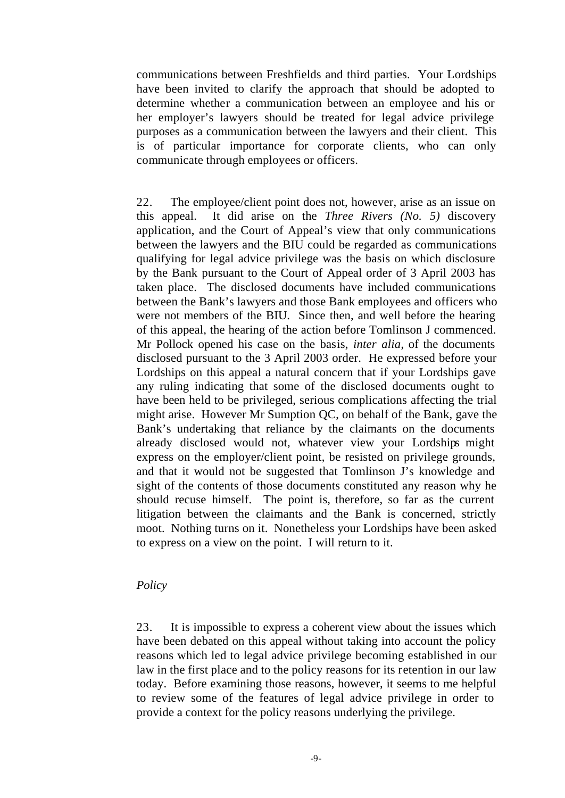communications between Freshfields and third parties. Your Lordships have been invited to clarify the approach that should be adopted to determine whether a communication between an employee and his or her employer's lawyers should be treated for legal advice privilege purposes as a communication between the lawyers and their client. This is of particular importance for corporate clients, who can only communicate through employees or officers.

22. The employee/client point does not, however, arise as an issue on this appeal. It did arise on the *Three Rivers (No. 5)* discovery application, and the Court of Appeal's view that only communications between the lawyers and the BIU could be regarded as communications qualifying for legal advice privilege was the basis on which disclosure by the Bank pursuant to the Court of Appeal order of 3 April 2003 has taken place. The disclosed documents have included communications between the Bank's lawyers and those Bank employees and officers who were not members of the BIU. Since then, and well before the hearing of this appeal, the hearing of the action before Tomlinson J commenced. Mr Pollock opened his case on the basis, *inter alia*, of the documents disclosed pursuant to the 3 April 2003 order. He expressed before your Lordships on this appeal a natural concern that if your Lordships gave any ruling indicating that some of the disclosed documents ought to have been held to be privileged, serious complications affecting the trial might arise. However Mr Sumption QC, on behalf of the Bank, gave the Bank's undertaking that reliance by the claimants on the documents already disclosed would not, whatever view your Lordships might express on the employer/client point, be resisted on privilege grounds, and that it would not be suggested that Tomlinson J's knowledge and sight of the contents of those documents constituted any reason why he should recuse himself. The point is, therefore, so far as the current litigation between the claimants and the Bank is concerned, strictly moot. Nothing turns on it. Nonetheless your Lordships have been asked to express on a view on the point. I will return to it.

#### *Policy*

23. It is impossible to express a coherent view about the issues which have been debated on this appeal without taking into account the policy reasons which led to legal advice privilege becoming established in our law in the first place and to the policy reasons for its retention in our law today. Before examining those reasons, however, it seems to me helpful to review some of the features of legal advice privilege in order to provide a context for the policy reasons underlying the privilege.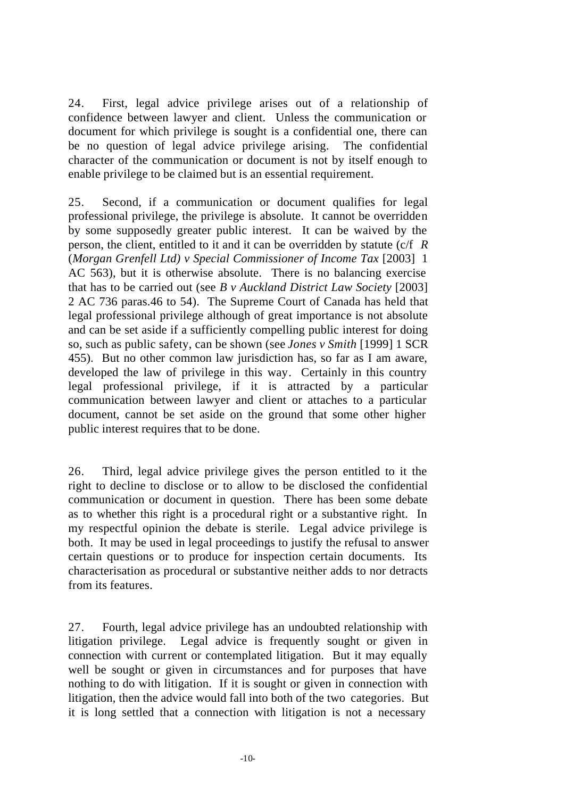24. First, legal advice privilege arises out of a relationship of confidence between lawyer and client. Unless the communication or document for which privilege is sought is a confidential one, there can be no question of legal advice privilege arising. The confidential character of the communication or document is not by itself enough to enable privilege to be claimed but is an essential requirement.

25. Second, if a communication or document qualifies for legal professional privilege, the privilege is absolute. It cannot be overridden by some supposedly greater public interest. It can be waived by the person, the client, entitled to it and it can be overridden by statute (c/f *R* (*Morgan Grenfell Ltd) v Special Commissioner of Income Tax* [2003] 1 AC 563), but it is otherwise absolute. There is no balancing exercise that has to be carried out (see *B v Auckland District Law Society* [2003] 2 AC 736 paras.46 to 54). The Supreme Court of Canada has held that legal professional privilege although of great importance is not absolute and can be set aside if a sufficiently compelling public interest for doing so, such as public safety, can be shown (see *Jones v Smith* [1999] 1 SCR 455). But no other common law jurisdiction has, so far as I am aware, developed the law of privilege in this way. Certainly in this country legal professional privilege, if it is attracted by a particular communication between lawyer and client or attaches to a particular document, cannot be set aside on the ground that some other higher public interest requires that to be done.

26. Third, legal advice privilege gives the person entitled to it the right to decline to disclose or to allow to be disclosed the confidential communication or document in question. There has been some debate as to whether this right is a procedural right or a substantive right. In my respectful opinion the debate is sterile. Legal advice privilege is both. It may be used in legal proceedings to justify the refusal to answer certain questions or to produce for inspection certain documents. Its characterisation as procedural or substantive neither adds to nor detracts from its features.

27. Fourth, legal advice privilege has an undoubted relationship with litigation privilege. Legal advice is frequently sought or given in connection with current or contemplated litigation. But it may equally well be sought or given in circumstances and for purposes that have nothing to do with litigation. If it is sought or given in connection with litigation, then the advice would fall into both of the two categories. But it is long settled that a connection with litigation is not a necessary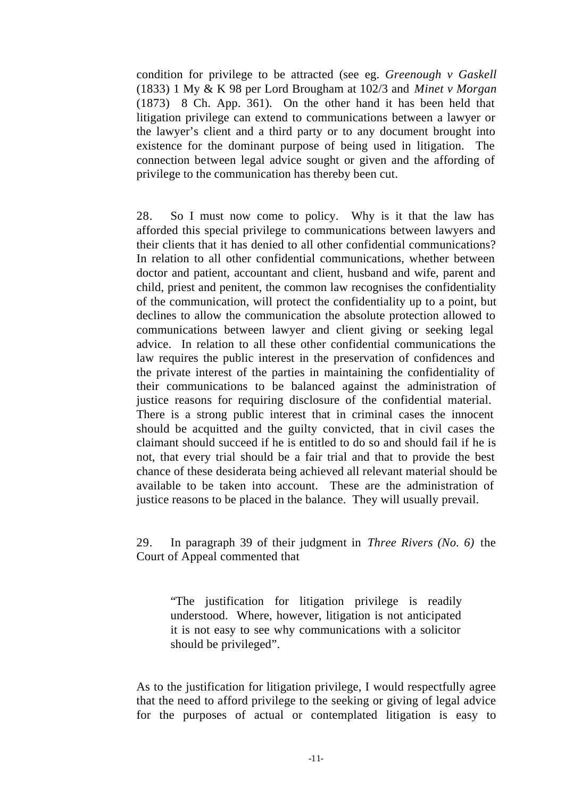condition for privilege to be attracted (see eg. *Greenough v Gaskell* (1833) 1 My & K 98 per Lord Brougham at 102/3 and *Minet v Morgan* (1873) 8 Ch. App. 361). On the other hand it has been held that litigation privilege can extend to communications between a lawyer or the lawyer's client and a third party or to any document brought into existence for the dominant purpose of being used in litigation. The connection between legal advice sought or given and the affording of privilege to the communication has thereby been cut.

28. So I must now come to policy. Why is it that the law has afforded this special privilege to communications between lawyers and their clients that it has denied to all other confidential communications? In relation to all other confidential communications, whether between doctor and patient, accountant and client, husband and wife, parent and child, priest and penitent, the common law recognises the confidentiality of the communication, will protect the confidentiality up to a point, but declines to allow the communication the absolute protection allowed to communications between lawyer and client giving or seeking legal advice. In relation to all these other confidential communications the law requires the public interest in the preservation of confidences and the private interest of the parties in maintaining the confidentiality of their communications to be balanced against the administration of justice reasons for requiring disclosure of the confidential material. There is a strong public interest that in criminal cases the innocent should be acquitted and the guilty convicted, that in civil cases the claimant should succeed if he is entitled to do so and should fail if he is not, that every trial should be a fair trial and that to provide the best chance of these desiderata being achieved all relevant material should be available to be taken into account. These are the administration of justice reasons to be placed in the balance. They will usually prevail.

29. In paragraph 39 of their judgment in *Three Rivers (No. 6)* the Court of Appeal commented that

"The justification for litigation privilege is readily understood. Where, however, litigation is not anticipated it is not easy to see why communications with a solicitor should be privileged".

As to the justification for litigation privilege, I would respectfully agree that the need to afford privilege to the seeking or giving of legal advice for the purposes of actual or contemplated litigation is easy to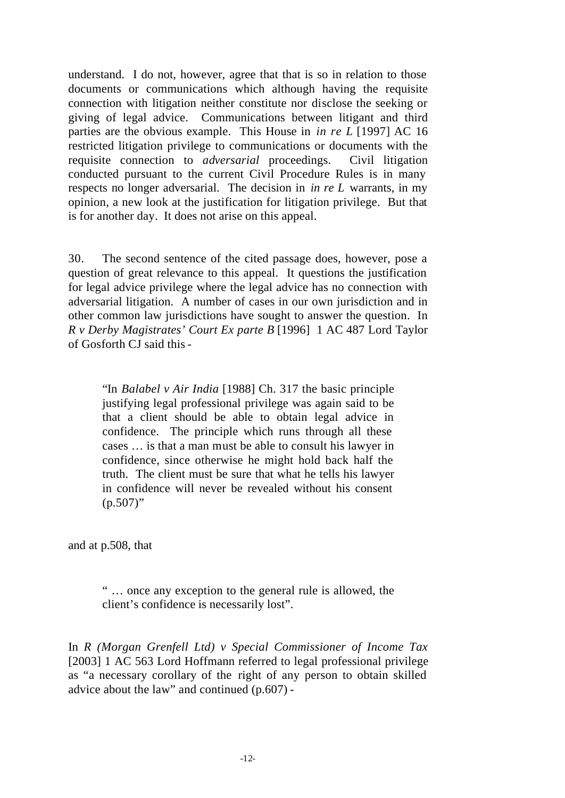understand. I do not, however, agree that that is so in relation to those documents or communications which although having the requisite connection with litigation neither constitute nor disclose the seeking or giving of legal advice. Communications between litigant and third parties are the obvious example. This House in *in re L* [1997] AC 16 restricted litigation privilege to communications or documents with the requisite connection to *adversarial* proceedings. Civil litigation conducted pursuant to the current Civil Procedure Rules is in many respects no longer adversarial. The decision in *in re L* warrants, in my opinion, a new look at the justification for litigation privilege. But that is for another day. It does not arise on this appeal.

30. The second sentence of the cited passage does, however, pose a question of great relevance to this appeal. It questions the justification for legal advice privilege where the legal advice has no connection with adversarial litigation. A number of cases in our own jurisdiction and in other common law jurisdictions have sought to answer the question. In *R v Derby Magistrates' Court Ex parte B* [1996] 1 AC 487 Lord Taylor of Gosforth CJ said this -

"In *Balabel v Air India* [1988] Ch. 317 the basic principle justifying legal professional privilege was again said to be that a client should be able to obtain legal advice in confidence. The principle which runs through all these cases … is that a man must be able to consult his lawyer in confidence, since otherwise he might hold back half the truth. The client must be sure that what he tells his lawyer in confidence will never be revealed without his consent  $(p.507)$ "

and at p.508, that

" … once any exception to the general rule is allowed, the client's confidence is necessarily lost".

In *R (Morgan Grenfell Ltd) v Special Commissioner of Income Tax* [2003] 1 AC 563 Lord Hoffmann referred to legal professional privilege as "a necessary corollary of the right of any person to obtain skilled advice about the law" and continued (p.607) -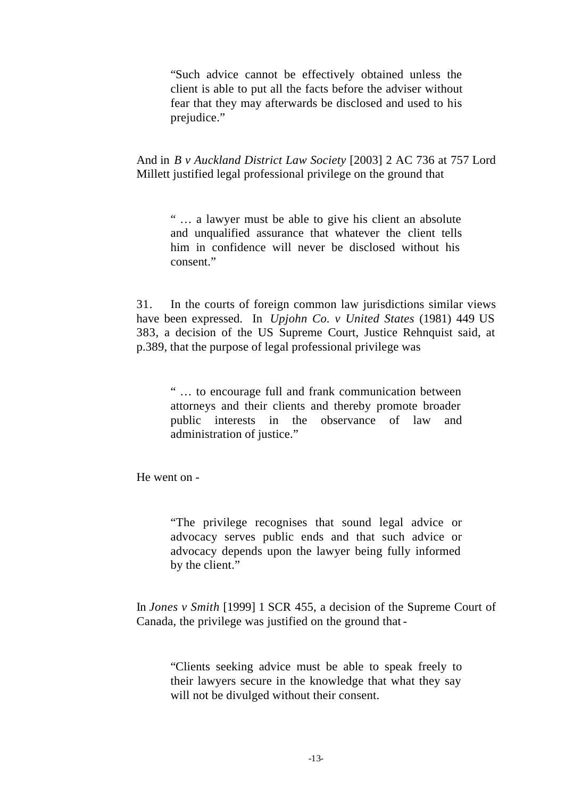"Such advice cannot be effectively obtained unless the client is able to put all the facts before the adviser without fear that they may afterwards be disclosed and used to his prejudice."

And in *B v Auckland District Law Society* [2003] 2 AC 736 at 757 Lord Millett justified legal professional privilege on the ground that

" … a lawyer must be able to give his client an absolute and unqualified assurance that whatever the client tells him in confidence will never be disclosed without his consent"

31. In the courts of foreign common law jurisdictions similar views have been expressed. In *Upjohn Co. v United States* (1981) 449 US 383, a decision of the US Supreme Court, Justice Rehnquist said, at p.389, that the purpose of legal professional privilege was

" … to encourage full and frank communication between attorneys and their clients and thereby promote broader public interests in the observance of law and administration of justice."

He went on -

"The privilege recognises that sound legal advice or advocacy serves public ends and that such advice or advocacy depends upon the lawyer being fully informed by the client."

In *Jones v Smith* [1999] 1 SCR 455, a decision of the Supreme Court of Canada, the privilege was justified on the ground that -

"Clients seeking advice must be able to speak freely to their lawyers secure in the knowledge that what they say will not be divulged without their consent.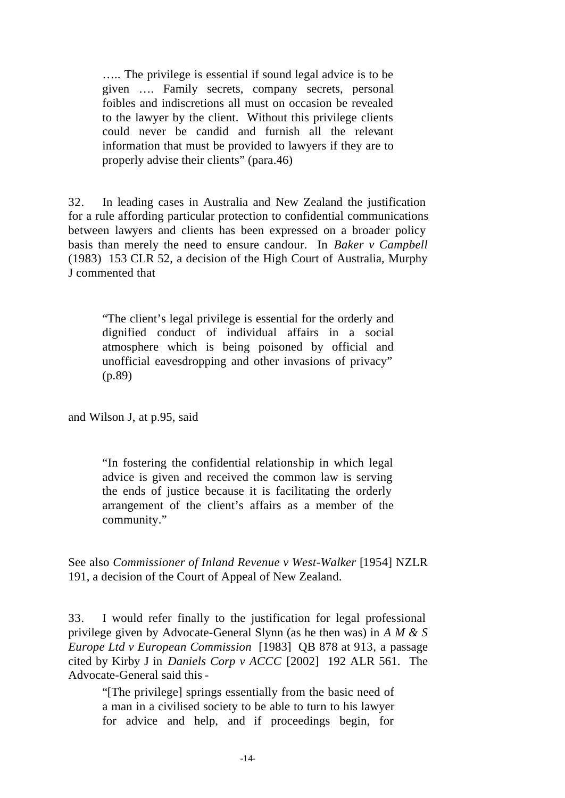….. The privilege is essential if sound legal advice is to be given …. Family secrets, company secrets, personal foibles and indiscretions all must on occasion be revealed to the lawyer by the client. Without this privilege clients could never be candid and furnish all the relevant information that must be provided to lawyers if they are to properly advise their clients" (para.46)

32. In leading cases in Australia and New Zealand the justification for a rule affording particular protection to confidential communications between lawyers and clients has been expressed on a broader policy basis than merely the need to ensure candour. In *Baker v Campbell* (1983) 153 CLR 52, a decision of the High Court of Australia, Murphy J commented that

"The client's legal privilege is essential for the orderly and dignified conduct of individual affairs in a social atmosphere which is being poisoned by official and unofficial eavesdropping and other invasions of privacy" (p.89)

and Wilson J, at p.95, said

"In fostering the confidential relationship in which legal advice is given and received the common law is serving the ends of justice because it is facilitating the orderly arrangement of the client's affairs as a member of the community."

See also *Commissioner of Inland Revenue v West-Walker* [1954] NZLR 191, a decision of the Court of Appeal of New Zealand.

33. I would refer finally to the justification for legal professional privilege given by Advocate-General Slynn (as he then was) in *A M & S Europe Ltd v European Commission* [1983] QB 878 at 913, a passage cited by Kirby J in *Daniels Corp v ACCC* [2002] 192 ALR 561. The Advocate-General said this -

"[The privilege] springs essentially from the basic need of a man in a civilised society to be able to turn to his lawyer for advice and help, and if proceedings begin, for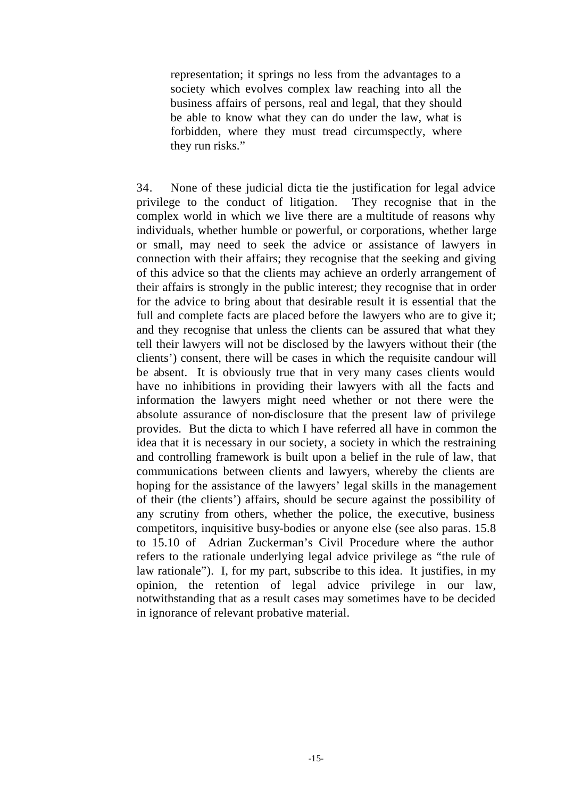representation; it springs no less from the advantages to a society which evolves complex law reaching into all the business affairs of persons, real and legal, that they should be able to know what they can do under the law, what is forbidden, where they must tread circumspectly, where they run risks."

34. None of these judicial dicta tie the justification for legal advice privilege to the conduct of litigation. They recognise that in the complex world in which we live there are a multitude of reasons why individuals, whether humble or powerful, or corporations, whether large or small, may need to seek the advice or assistance of lawyers in connection with their affairs; they recognise that the seeking and giving of this advice so that the clients may achieve an orderly arrangement of their affairs is strongly in the public interest; they recognise that in order for the advice to bring about that desirable result it is essential that the full and complete facts are placed before the lawyers who are to give it; and they recognise that unless the clients can be assured that what they tell their lawyers will not be disclosed by the lawyers without their (the clients') consent, there will be cases in which the requisite candour will be absent. It is obviously true that in very many cases clients would have no inhibitions in providing their lawyers with all the facts and information the lawyers might need whether or not there were the absolute assurance of non-disclosure that the present law of privilege provides. But the dicta to which I have referred all have in common the idea that it is necessary in our society, a society in which the restraining and controlling framework is built upon a belief in the rule of law, that communications between clients and lawyers, whereby the clients are hoping for the assistance of the lawyers' legal skills in the management of their (the clients') affairs, should be secure against the possibility of any scrutiny from others, whether the police, the executive, business competitors, inquisitive busy-bodies or anyone else (see also paras. 15.8 to 15.10 of Adrian Zuckerman's Civil Procedure where the author refers to the rationale underlying legal advice privilege as "the rule of law rationale"). I, for my part, subscribe to this idea. It justifies, in my opinion, the retention of legal advice privilege in our law, notwithstanding that as a result cases may sometimes have to be decided in ignorance of relevant probative material.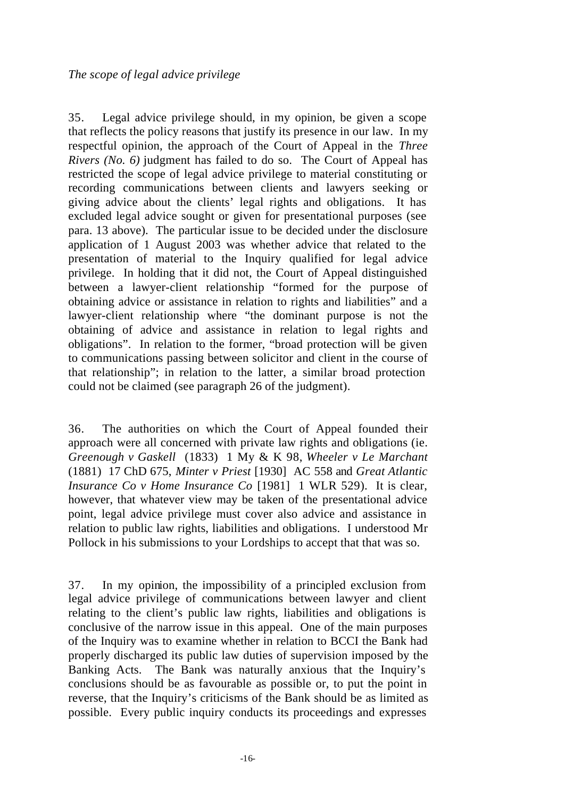35. Legal advice privilege should, in my opinion, be given a scope that reflects the policy reasons that justify its presence in our law. In my respectful opinion, the approach of the Court of Appeal in the *Three Rivers (No. 6)* judgment has failed to do so. The Court of Appeal has restricted the scope of legal advice privilege to material constituting or recording communications between clients and lawyers seeking or giving advice about the clients' legal rights and obligations. It has excluded legal advice sought or given for presentational purposes (see para. 13 above). The particular issue to be decided under the disclosure application of 1 August 2003 was whether advice that related to the presentation of material to the Inquiry qualified for legal advice privilege. In holding that it did not, the Court of Appeal distinguished between a lawyer-client relationship "formed for the purpose of obtaining advice or assistance in relation to rights and liabilities" and a lawyer-client relationship where "the dominant purpose is not the obtaining of advice and assistance in relation to legal rights and obligations". In relation to the former, "broad protection will be given to communications passing between solicitor and client in the course of that relationship"; in relation to the latter, a similar broad protection could not be claimed (see paragraph 26 of the judgment).

36. The authorities on which the Court of Appeal founded their approach were all concerned with private law rights and obligations (ie. *Greenough v Gaskell* (1833) 1 My & K 98, *Wheeler v Le Marchant* (1881) 17 ChD 675, *Minter v Priest* [1930] AC 558 and *Great Atlantic Insurance Co v Home Insurance Co* [1981] 1 WLR 529). It is clear, however, that whatever view may be taken of the presentational advice point, legal advice privilege must cover also advice and assistance in relation to public law rights, liabilities and obligations. I understood Mr Pollock in his submissions to your Lordships to accept that that was so.

37. In my opinion, the impossibility of a principled exclusion from legal advice privilege of communications between lawyer and client relating to the client's public law rights, liabilities and obligations is conclusive of the narrow issue in this appeal. One of the main purposes of the Inquiry was to examine whether in relation to BCCI the Bank had properly discharged its public law duties of supervision imposed by the Banking Acts. The Bank was naturally anxious that the Inquiry's conclusions should be as favourable as possible or, to put the point in reverse, that the Inquiry's criticisms of the Bank should be as limited as possible. Every public inquiry conducts its proceedings and expresses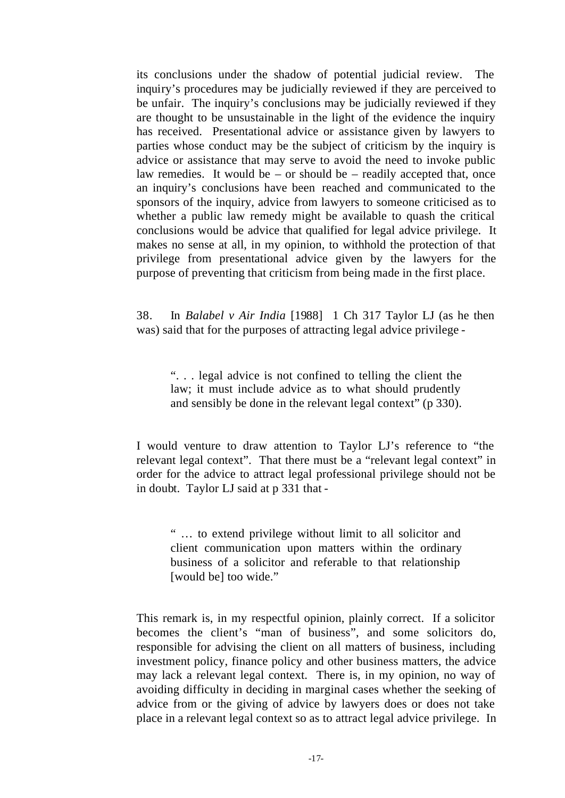its conclusions under the shadow of potential judicial review. The inquiry's procedures may be judicially reviewed if they are perceived to be unfair. The inquiry's conclusions may be judicially reviewed if they are thought to be unsustainable in the light of the evidence the inquiry has received. Presentational advice or assistance given by lawyers to parties whose conduct may be the subject of criticism by the inquiry is advice or assistance that may serve to avoid the need to invoke public law remedies. It would be – or should be – readily accepted that, once an inquiry's conclusions have been reached and communicated to the sponsors of the inquiry, advice from lawyers to someone criticised as to whether a public law remedy might be available to quash the critical conclusions would be advice that qualified for legal advice privilege. It makes no sense at all, in my opinion, to withhold the protection of that privilege from presentational advice given by the lawyers for the purpose of preventing that criticism from being made in the first place.

38. In *Balabel v Air India* [1988] 1 Ch 317 Taylor LJ (as he then was) said that for the purposes of attracting legal advice privilege -

". . . legal advice is not confined to telling the client the law; it must include advice as to what should prudently and sensibly be done in the relevant legal context" (p 330).

I would venture to draw attention to Taylor LJ's reference to "the relevant legal context". That there must be a "relevant legal context" in order for the advice to attract legal professional privilege should not be in doubt. Taylor LJ said at p 331 that -

" … to extend privilege without limit to all solicitor and client communication upon matters within the ordinary business of a solicitor and referable to that relationship [would be] too wide."

This remark is, in my respectful opinion, plainly correct. If a solicitor becomes the client's "man of business", and some solicitors do, responsible for advising the client on all matters of business, including investment policy, finance policy and other business matters, the advice may lack a relevant legal context. There is, in my opinion, no way of avoiding difficulty in deciding in marginal cases whether the seeking of advice from or the giving of advice by lawyers does or does not take place in a relevant legal context so as to attract legal advice privilege. In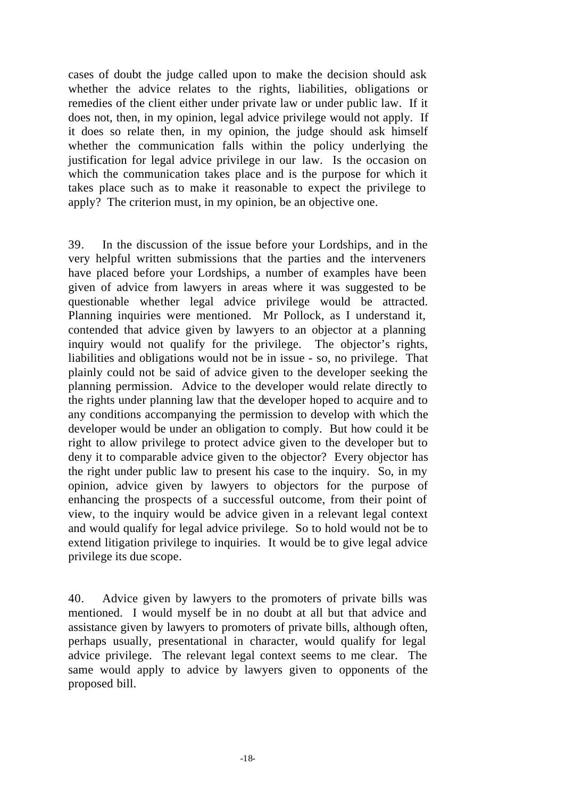cases of doubt the judge called upon to make the decision should ask whether the advice relates to the rights, liabilities, obligations or remedies of the client either under private law or under public law. If it does not, then, in my opinion, legal advice privilege would not apply. If it does so relate then, in my opinion, the judge should ask himself whether the communication falls within the policy underlying the justification for legal advice privilege in our law. Is the occasion on which the communication takes place and is the purpose for which it takes place such as to make it reasonable to expect the privilege to apply? The criterion must, in my opinion, be an objective one.

39. In the discussion of the issue before your Lordships, and in the very helpful written submissions that the parties and the interveners have placed before your Lordships, a number of examples have been given of advice from lawyers in areas where it was suggested to be questionable whether legal advice privilege would be attracted. Planning inquiries were mentioned. Mr Pollock, as I understand it, contended that advice given by lawyers to an objector at a planning inquiry would not qualify for the privilege. The objector's rights, liabilities and obligations would not be in issue - so, no privilege. That plainly could not be said of advice given to the developer seeking the planning permission. Advice to the developer would relate directly to the rights under planning law that the developer hoped to acquire and to any conditions accompanying the permission to develop with which the developer would be under an obligation to comply. But how could it be right to allow privilege to protect advice given to the developer but to deny it to comparable advice given to the objector? Every objector has the right under public law to present his case to the inquiry. So, in my opinion, advice given by lawyers to objectors for the purpose of enhancing the prospects of a successful outcome, from their point of view, to the inquiry would be advice given in a relevant legal context and would qualify for legal advice privilege. So to hold would not be to extend litigation privilege to inquiries. It would be to give legal advice privilege its due scope.

40. Advice given by lawyers to the promoters of private bills was mentioned. I would myself be in no doubt at all but that advice and assistance given by lawyers to promoters of private bills, although often, perhaps usually, presentational in character, would qualify for legal advice privilege. The relevant legal context seems to me clear. The same would apply to advice by lawyers given to opponents of the proposed bill.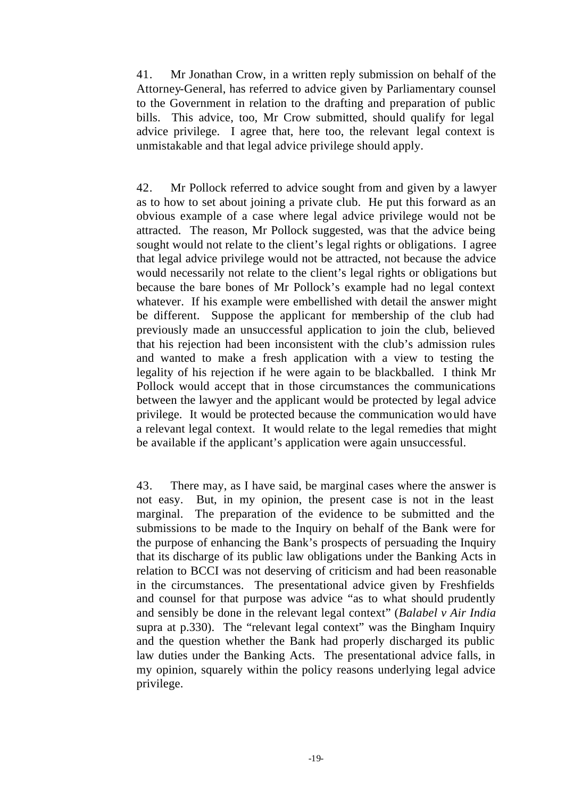41. Mr Jonathan Crow, in a written reply submission on behalf of the Attorney-General, has referred to advice given by Parliamentary counsel to the Government in relation to the drafting and preparation of public bills. This advice, too, Mr Crow submitted, should qualify for legal advice privilege. I agree that, here too, the relevant legal context is unmistakable and that legal advice privilege should apply.

42. Mr Pollock referred to advice sought from and given by a lawyer as to how to set about joining a private club. He put this forward as an obvious example of a case where legal advice privilege would not be attracted. The reason, Mr Pollock suggested, was that the advice being sought would not relate to the client's legal rights or obligations. I agree that legal advice privilege would not be attracted, not because the advice would necessarily not relate to the client's legal rights or obligations but because the bare bones of Mr Pollock's example had no legal context whatever. If his example were embellished with detail the answer might be different. Suppose the applicant for membership of the club had previously made an unsuccessful application to join the club, believed that his rejection had been inconsistent with the club's admission rules and wanted to make a fresh application with a view to testing the legality of his rejection if he were again to be blackballed. I think Mr Pollock would accept that in those circumstances the communications between the lawyer and the applicant would be protected by legal advice privilege. It would be protected because the communication would have a relevant legal context. It would relate to the legal remedies that might be available if the applicant's application were again unsuccessful.

43. There may, as I have said, be marginal cases where the answer is not easy. But, in my opinion, the present case is not in the least marginal. The preparation of the evidence to be submitted and the submissions to be made to the Inquiry on behalf of the Bank were for the purpose of enhancing the Bank's prospects of persuading the Inquiry that its discharge of its public law obligations under the Banking Acts in relation to BCCI was not deserving of criticism and had been reasonable in the circumstances. The presentational advice given by Freshfields and counsel for that purpose was advice "as to what should prudently and sensibly be done in the relevant legal context" (*Balabel v Air India*  supra at p.330). The "relevant legal context" was the Bingham Inquiry and the question whether the Bank had properly discharged its public law duties under the Banking Acts. The presentational advice falls, in my opinion, squarely within the policy reasons underlying legal advice privilege.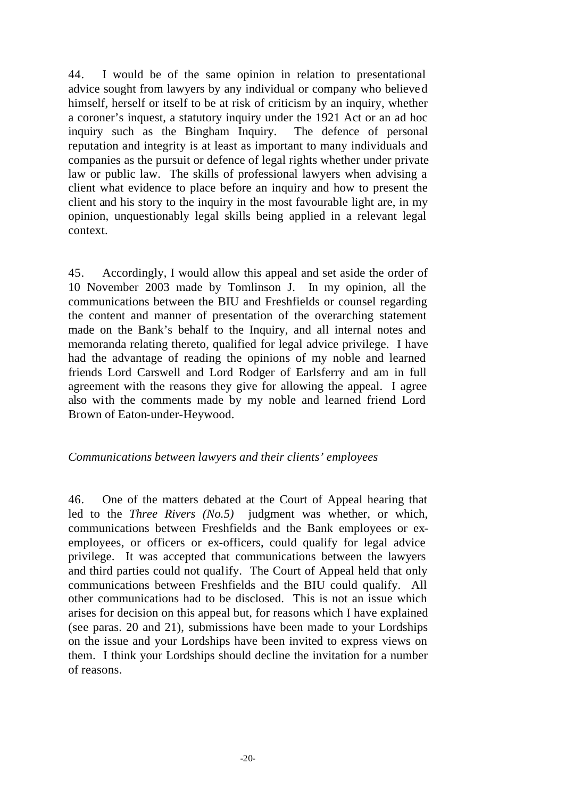44. I would be of the same opinion in relation to presentational advice sought from lawyers by any individual or company who believed himself, herself or itself to be at risk of criticism by an inquiry, whether a coroner's inquest, a statutory inquiry under the 1921 Act or an ad hoc inquiry such as the Bingham Inquiry. The defence of personal reputation and integrity is at least as important to many individuals and companies as the pursuit or defence of legal rights whether under private law or public law. The skills of professional lawyers when advising a client what evidence to place before an inquiry and how to present the client and his story to the inquiry in the most favourable light are, in my opinion, unquestionably legal skills being applied in a relevant legal context.

45. Accordingly, I would allow this appeal and set aside the order of 10 November 2003 made by Tomlinson J. In my opinion, all the communications between the BIU and Freshfields or counsel regarding the content and manner of presentation of the overarching statement made on the Bank's behalf to the Inquiry, and all internal notes and memoranda relating thereto, qualified for legal advice privilege. I have had the advantage of reading the opinions of my noble and learned friends Lord Carswell and Lord Rodger of Earlsferry and am in full agreement with the reasons they give for allowing the appeal. I agree also with the comments made by my noble and learned friend Lord Brown of Eaton-under-Heywood.

### *Communications between lawyers and their clients' employees*

46. One of the matters debated at the Court of Appeal hearing that led to the *Three Rivers (No.5)* judgment was whether, or which, communications between Freshfields and the Bank employees or exemployees, or officers or ex-officers, could qualify for legal advice privilege. It was accepted that communications between the lawyers and third parties could not qualify. The Court of Appeal held that only communications between Freshfields and the BIU could qualify. All other communications had to be disclosed. This is not an issue which arises for decision on this appeal but, for reasons which I have explained (see paras. 20 and 21), submissions have been made to your Lordships on the issue and your Lordships have been invited to express views on them. I think your Lordships should decline the invitation for a number of reasons.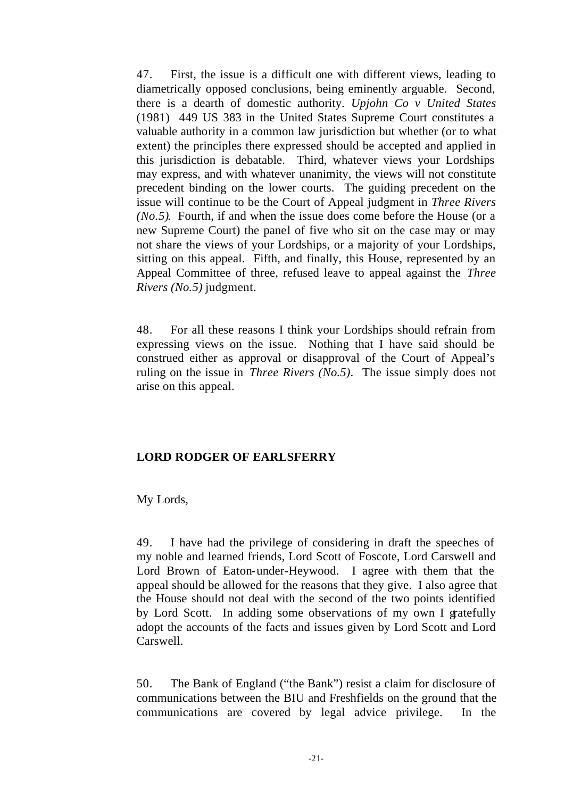47. First, the issue is a difficult one with different views, leading to diametrically opposed conclusions, being eminently arguable. Second, there is a dearth of domestic authority. *Upjohn Co v United States* (1981) 449 US 383 in the United States Supreme Court constitutes a valuable authority in a common law jurisdiction but whether (or to what extent) the principles there expressed should be accepted and applied in this jurisdiction is debatable. Third, whatever views your Lordships may express, and with whatever unanimity, the views will not constitute precedent binding on the lower courts. The guiding precedent on the issue will continue to be the Court of Appeal judgment in *Three Rivers (No.5)*. Fourth, if and when the issue does come before the House (or a new Supreme Court) the panel of five who sit on the case may or may not share the views of your Lordships, or a majority of your Lordships, sitting on this appeal. Fifth, and finally, this House, represented by an Appeal Committee of three, refused leave to appeal against the *Three Rivers (No.5)* judgment.

48. For all these reasons I think your Lordships should refrain from expressing views on the issue. Nothing that I have said should be construed either as approval or disapproval of the Court of Appeal's ruling on the issue in *Three Rivers (No.5)*. The issue simply does not arise on this appeal.

### **LORD RODGER OF EARLSFERRY**

My Lords,

49. I have had the privilege of considering in draft the speeches of my noble and learned friends, Lord Scott of Foscote, Lord Carswell and Lord Brown of Eaton-under-Heywood. I agree with them that the appeal should be allowed for the reasons that they give. I also agree that the House should not deal with the second of the two points identified by Lord Scott. In adding some observations of my own I gratefully adopt the accounts of the facts and issues given by Lord Scott and Lord Carswell.

50. The Bank of England ("the Bank") resist a claim for disclosure of communications between the BIU and Freshfields on the ground that the communications are covered by legal advice privilege. In the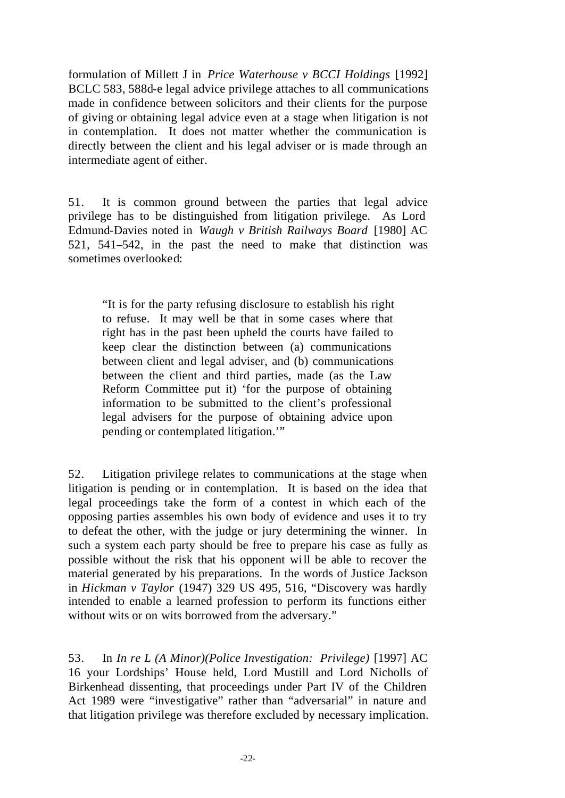formulation of Millett J in *Price Waterhouse v BCCI Holdings* [1992] BCLC 583, 588d-e legal advice privilege attaches to all communications made in confidence between solicitors and their clients for the purpose of giving or obtaining legal advice even at a stage when litigation is not in contemplation. It does not matter whether the communication is directly between the client and his legal adviser or is made through an intermediate agent of either.

51. It is common ground between the parties that legal advice privilege has to be distinguished from litigation privilege. As Lord Edmund-Davies noted in *Waugh v British Railways Board* [1980] AC 521, 541–542, in the past the need to make that distinction was sometimes overlooked:

"It is for the party refusing disclosure to establish his right to refuse. It may well be that in some cases where that right has in the past been upheld the courts have failed to keep clear the distinction between (a) communications between client and legal adviser, and (b) communications between the client and third parties, made (as the Law Reform Committee put it) 'for the purpose of obtaining information to be submitted to the client's professional legal advisers for the purpose of obtaining advice upon pending or contemplated litigation.'"

52. Litigation privilege relates to communications at the stage when litigation is pending or in contemplation. It is based on the idea that legal proceedings take the form of a contest in which each of the opposing parties assembles his own body of evidence and uses it to try to defeat the other, with the judge or jury determining the winner. In such a system each party should be free to prepare his case as fully as possible without the risk that his opponent will be able to recover the material generated by his preparations. In the words of Justice Jackson in *Hickman v Taylor* (1947) 329 US 495, 516, "Discovery was hardly intended to enable a learned profession to perform its functions either without wits or on wits borrowed from the adversary."

53. In *In re L (A Minor)(Police Investigation: Privilege)* [1997] AC 16 your Lordships' House held, Lord Mustill and Lord Nicholls of Birkenhead dissenting, that proceedings under Part IV of the Children Act 1989 were "investigative" rather than "adversarial" in nature and that litigation privilege was therefore excluded by necessary implication.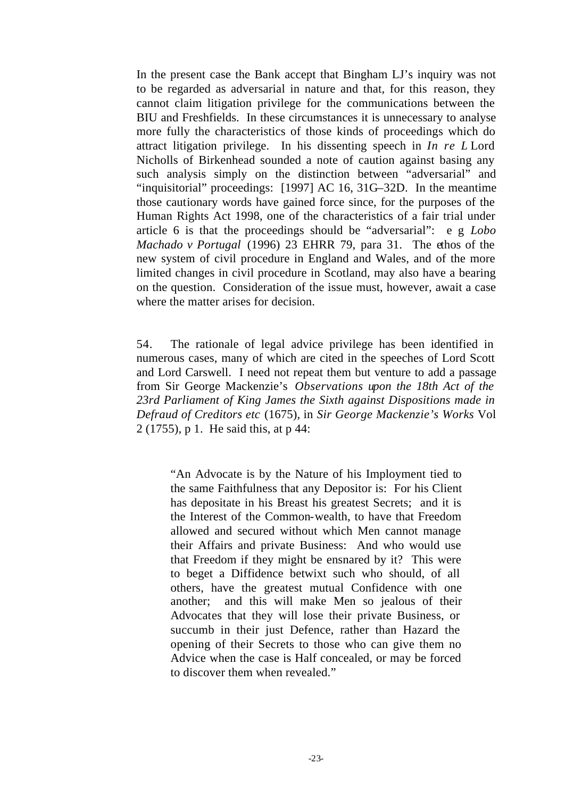In the present case the Bank accept that Bingham LJ's inquiry was not to be regarded as adversarial in nature and that, for this reason, they cannot claim litigation privilege for the communications between the BIU and Freshfields. In these circumstances it is unnecessary to analyse more fully the characteristics of those kinds of proceedings which do attract litigation privilege. In his dissenting speech in *In re L* Lord Nicholls of Birkenhead sounded a note of caution against basing any such analysis simply on the distinction between "adversarial" and "inquisitorial" proceedings: [1997] AC 16, 31G–32D. In the meantime those cautionary words have gained force since, for the purposes of the Human Rights Act 1998, one of the characteristics of a fair trial under article 6 is that the proceedings should be "adversarial": e g *Lobo Machado v Portugal* (1996) 23 EHRR 79, para 31. The ethos of the new system of civil procedure in England and Wales, and of the more limited changes in civil procedure in Scotland, may also have a bearing on the question. Consideration of the issue must, however, await a case where the matter arises for decision.

54. The rationale of legal advice privilege has been identified in numerous cases, many of which are cited in the speeches of Lord Scott and Lord Carswell. I need not repeat them but venture to add a passage from Sir George Mackenzie's *Observations upon the 18th Act of the 23rd Parliament of King James the Sixth against Dispositions made in Defraud of Creditors etc* (1675), in *Sir George Mackenzie's Works* Vol 2 (1755), p 1. He said this, at p 44:

"An Advocate is by the Nature of his Imployment tied to the same Faithfulness that any Depositor is: For his Client has depositate in his Breast his greatest Secrets; and it is the Interest of the Common-wealth, to have that Freedom allowed and secured without which Men cannot manage their Affairs and private Business: And who would use that Freedom if they might be ensnared by it? This were to beget a Diffidence betwixt such who should, of all others, have the greatest mutual Confidence with one another; and this will make Men so jealous of their Advocates that they will lose their private Business, or succumb in their just Defence, rather than Hazard the opening of their Secrets to those who can give them no Advice when the case is Half concealed, or may be forced to discover them when revealed."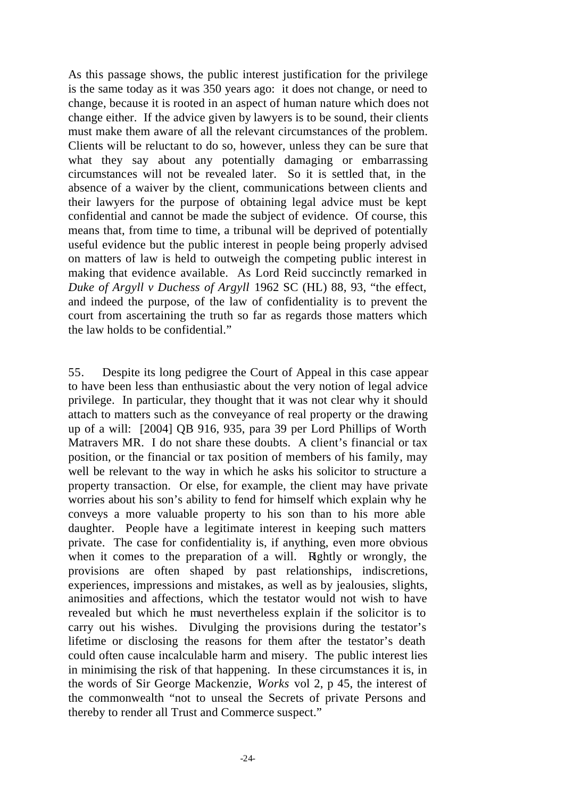As this passage shows, the public interest justification for the privilege is the same today as it was 350 years ago: it does not change, or need to change, because it is rooted in an aspect of human nature which does not change either. If the advice given by lawyers is to be sound, their clients must make them aware of all the relevant circumstances of the problem. Clients will be reluctant to do so, however, unless they can be sure that what they say about any potentially damaging or embarrassing circumstances will not be revealed later. So it is settled that, in the absence of a waiver by the client, communications between clients and their lawyers for the purpose of obtaining legal advice must be kept confidential and cannot be made the subject of evidence. Of course, this means that, from time to time, a tribunal will be deprived of potentially useful evidence but the public interest in people being properly advised on matters of law is held to outweigh the competing public interest in making that evidence available. As Lord Reid succinctly remarked in *Duke of Argyll v Duchess of Argyll* 1962 SC (HL) 88, 93, "the effect, and indeed the purpose, of the law of confidentiality is to prevent the court from ascertaining the truth so far as regards those matters which the law holds to be confidential."

55. Despite its long pedigree the Court of Appeal in this case appear to have been less than enthusiastic about the very notion of legal advice privilege. In particular, they thought that it was not clear why it should attach to matters such as the conveyance of real property or the drawing up of a will: [2004] QB 916, 935, para 39 per Lord Phillips of Worth Matravers MR. I do not share these doubts. A client's financial or tax position, or the financial or tax position of members of his family, may well be relevant to the way in which he asks his solicitor to structure a property transaction. Or else, for example, the client may have private worries about his son's ability to fend for himself which explain why he conveys a more valuable property to his son than to his more able daughter. People have a legitimate interest in keeping such matters private. The case for confidentiality is, if anything, even more obvious when it comes to the preparation of a will. Rightly or wrongly, the provisions are often shaped by past relationships, indiscretions, experiences, impressions and mistakes, as well as by jealousies, slights, animosities and affections, which the testator would not wish to have revealed but which he must nevertheless explain if the solicitor is to carry out his wishes. Divulging the provisions during the testator's lifetime or disclosing the reasons for them after the testator's death could often cause incalculable harm and misery. The public interest lies in minimising the risk of that happening. In these circumstances it is, in the words of Sir George Mackenzie, *Works* vol 2, p 45, the interest of the commonwealth "not to unseal the Secrets of private Persons and thereby to render all Trust and Commerce suspect."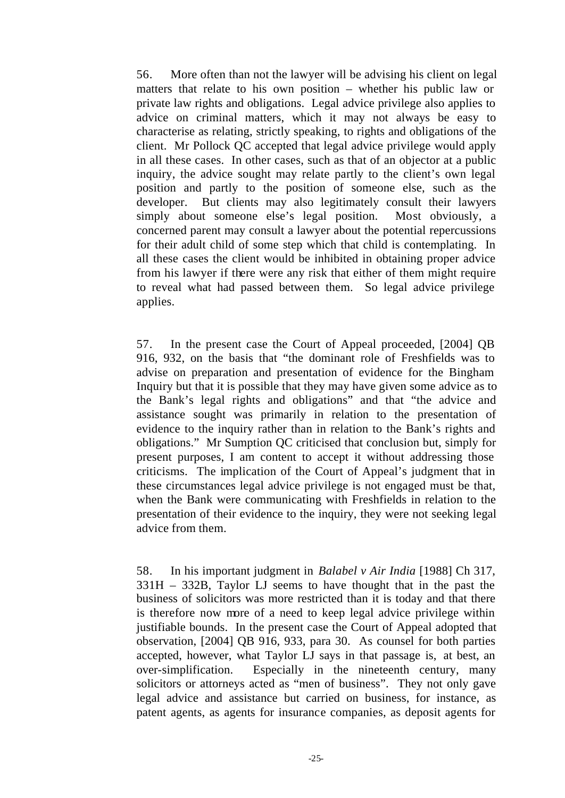56. More often than not the lawyer will be advising his client on legal matters that relate to his own position – whether his public law or private law rights and obligations. Legal advice privilege also applies to advice on criminal matters, which it may not always be easy to characterise as relating, strictly speaking, to rights and obligations of the client. Mr Pollock QC accepted that legal advice privilege would apply in all these cases. In other cases, such as that of an objector at a public inquiry, the advice sought may relate partly to the client's own legal position and partly to the position of someone else, such as the developer. But clients may also legitimately consult their lawyers simply about someone else's legal position. Most obviously, a concerned parent may consult a lawyer about the potential repercussions for their adult child of some step which that child is contemplating. In all these cases the client would be inhibited in obtaining proper advice from his lawyer if there were any risk that either of them might require to reveal what had passed between them. So legal advice privilege applies.

57. In the present case the Court of Appeal proceeded, [2004] QB 916, 932, on the basis that "the dominant role of Freshfields was to advise on preparation and presentation of evidence for the Bingham Inquiry but that it is possible that they may have given some advice as to the Bank's legal rights and obligations" and that "the advice and assistance sought was primarily in relation to the presentation of evidence to the inquiry rather than in relation to the Bank's rights and obligations." Mr Sumption QC criticised that conclusion but, simply for present purposes, I am content to accept it without addressing those criticisms. The implication of the Court of Appeal's judgment that in these circumstances legal advice privilege is not engaged must be that, when the Bank were communicating with Freshfields in relation to the presentation of their evidence to the inquiry, they were not seeking legal advice from them.

58. In his important judgment in *Balabel v Air India* [1988] Ch 317, 331H – 332B, Taylor LJ seems to have thought that in the past the business of solicitors was more restricted than it is today and that there is therefore now more of a need to keep legal advice privilege within justifiable bounds. In the present case the Court of Appeal adopted that observation, [2004] QB 916, 933, para 30. As counsel for both parties accepted, however, what Taylor LJ says in that passage is, at best, an over-simplification. Especially in the nineteenth century, many solicitors or attorneys acted as "men of business". They not only gave legal advice and assistance but carried on business, for instance, as patent agents, as agents for insurance companies, as deposit agents for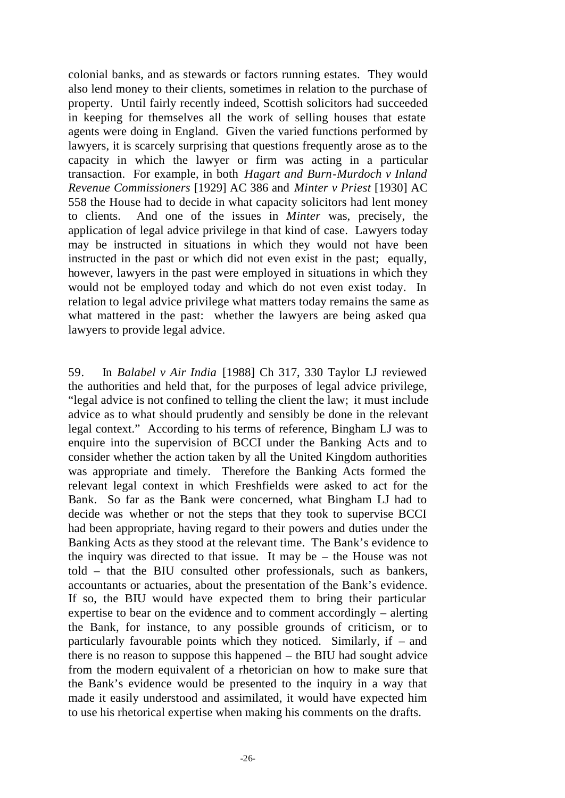colonial banks, and as stewards or factors running estates. They would also lend money to their clients, sometimes in relation to the purchase of property. Until fairly recently indeed, Scottish solicitors had succeeded in keeping for themselves all the work of selling houses that estate agents were doing in England. Given the varied functions performed by lawyers, it is scarcely surprising that questions frequently arose as to the capacity in which the lawyer or firm was acting in a particular transaction. For example, in both *Hagart and Burn-Murdoch v Inland Revenue Commissioners* [1929] AC 386 and *Minter v Priest* [1930] AC 558 the House had to decide in what capacity solicitors had lent money to clients. And one of the issues in *Minter* was, precisely, the application of legal advice privilege in that kind of case. Lawyers today may be instructed in situations in which they would not have been instructed in the past or which did not even exist in the past; equally, however, lawyers in the past were employed in situations in which they would not be employed today and which do not even exist today. In relation to legal advice privilege what matters today remains the same as what mattered in the past: whether the lawyers are being asked qua lawyers to provide legal advice.

59. In *Balabel v Air India* [1988] Ch 317, 330 Taylor LJ reviewed the authorities and held that, for the purposes of legal advice privilege, "legal advice is not confined to telling the client the law; it must include advice as to what should prudently and sensibly be done in the relevant legal context." According to his terms of reference, Bingham LJ was to enquire into the supervision of BCCI under the Banking Acts and to consider whether the action taken by all the United Kingdom authorities was appropriate and timely. Therefore the Banking Acts formed the relevant legal context in which Freshfields were asked to act for the Bank. So far as the Bank were concerned, what Bingham LJ had to decide was whether or not the steps that they took to supervise BCCI had been appropriate, having regard to their powers and duties under the Banking Acts as they stood at the relevant time. The Bank's evidence to the inquiry was directed to that issue. It may be – the House was not told – that the BIU consulted other professionals, such as bankers, accountants or actuaries, about the presentation of the Bank's evidence. If so, the BIU would have expected them to bring their particular expertise to bear on the evidence and to comment accordingly – alerting the Bank, for instance, to any possible grounds of criticism, or to particularly favourable points which they noticed. Similarly, if  $-$  and there is no reason to suppose this happened – the BIU had sought advice from the modern equivalent of a rhetorician on how to make sure that the Bank's evidence would be presented to the inquiry in a way that made it easily understood and assimilated, it would have expected him to use his rhetorical expertise when making his comments on the drafts.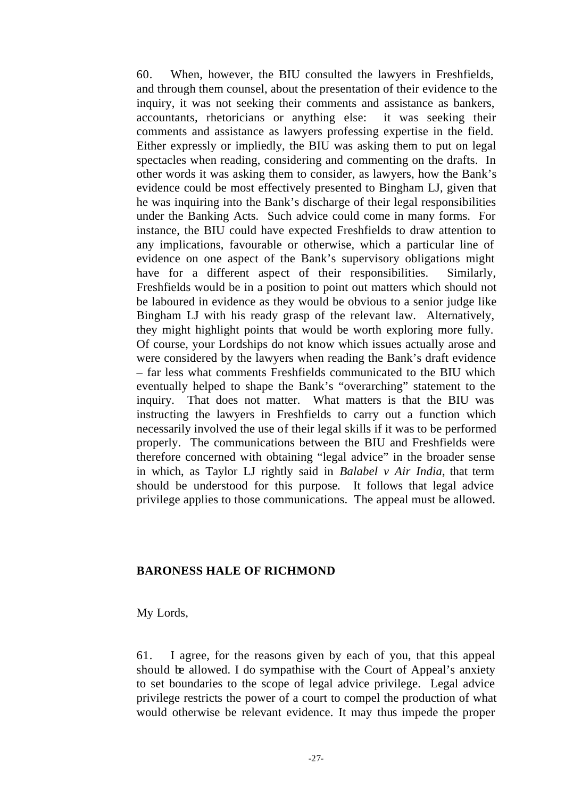60. When, however, the BIU consulted the lawyers in Freshfields, and through them counsel, about the presentation of their evidence to the inquiry, it was not seeking their comments and assistance as bankers, accountants, rhetoricians or anything else: it was seeking their comments and assistance as lawyers professing expertise in the field. Either expressly or impliedly, the BIU was asking them to put on legal spectacles when reading, considering and commenting on the drafts. In other words it was asking them to consider, as lawyers, how the Bank's evidence could be most effectively presented to Bingham LJ, given that he was inquiring into the Bank's discharge of their legal responsibilities under the Banking Acts. Such advice could come in many forms. For instance, the BIU could have expected Freshfields to draw attention to any implications, favourable or otherwise, which a particular line of evidence on one aspect of the Bank's supervisory obligations might have for a different aspect of their responsibilities. Similarly, Freshfields would be in a position to point out matters which should not be laboured in evidence as they would be obvious to a senior judge like Bingham LJ with his ready grasp of the relevant law. Alternatively, they might highlight points that would be worth exploring more fully. Of course, your Lordships do not know which issues actually arose and were considered by the lawyers when reading the Bank's draft evidence – far less what comments Freshfields communicated to the BIU which eventually helped to shape the Bank's "overarching" statement to the inquiry. That does not matter. What matters is that the BIU was instructing the lawyers in Freshfields to carry out a function which necessarily involved the use of their legal skills if it was to be performed properly. The communications between the BIU and Freshfields were therefore concerned with obtaining "legal advice" in the broader sense in which, as Taylor LJ rightly said in *Balabel v Air India*, that term should be understood for this purpose*.* It follows that legal advice privilege applies to those communications. The appeal must be allowed.

### **BARONESS HALE OF RICHMOND**

### My Lords,

61. I agree, for the reasons given by each of you, that this appeal should be allowed. I do sympathise with the Court of Appeal's anxiety to set boundaries to the scope of legal advice privilege. Legal advice privilege restricts the power of a court to compel the production of what would otherwise be relevant evidence. It may thus impede the proper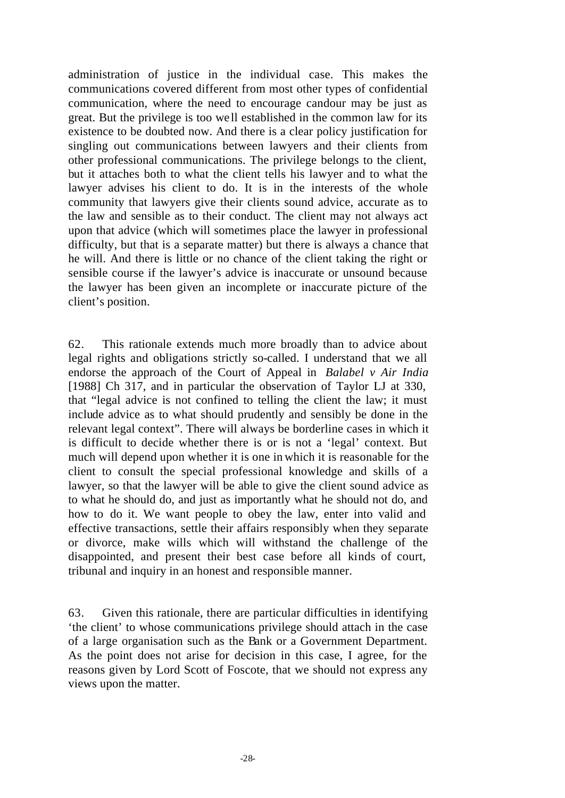administration of justice in the individual case. This makes the communications covered different from most other types of confidential communication, where the need to encourage candour may be just as great. But the privilege is too we ll established in the common law for its existence to be doubted now. And there is a clear policy justification for singling out communications between lawyers and their clients from other professional communications. The privilege belongs to the client, but it attaches both to what the client tells his lawyer and to what the lawyer advises his client to do. It is in the interests of the whole community that lawyers give their clients sound advice, accurate as to the law and sensible as to their conduct. The client may not always act upon that advice (which will sometimes place the lawyer in professional difficulty, but that is a separate matter) but there is always a chance that he will. And there is little or no chance of the client taking the right or sensible course if the lawyer's advice is inaccurate or unsound because the lawyer has been given an incomplete or inaccurate picture of the client's position.

62. This rationale extends much more broadly than to advice about legal rights and obligations strictly so-called. I understand that we all endorse the approach of the Court of Appeal in *Balabel v Air India* [1988] Ch 317, and in particular the observation of Taylor LJ at 330, that "legal advice is not confined to telling the client the law; it must include advice as to what should prudently and sensibly be done in the relevant legal context". There will always be borderline cases in which it is difficult to decide whether there is or is not a 'legal' context. But much will depend upon whether it is one in which it is reasonable for the client to consult the special professional knowledge and skills of a lawyer, so that the lawyer will be able to give the client sound advice as to what he should do, and just as importantly what he should not do, and how to do it. We want people to obey the law, enter into valid and effective transactions, settle their affairs responsibly when they separate or divorce, make wills which will withstand the challenge of the disappointed, and present their best case before all kinds of court, tribunal and inquiry in an honest and responsible manner.

63. Given this rationale, there are particular difficulties in identifying 'the client' to whose communications privilege should attach in the case of a large organisation such as the Bank or a Government Department. As the point does not arise for decision in this case, I agree, for the reasons given by Lord Scott of Foscote, that we should not express any views upon the matter.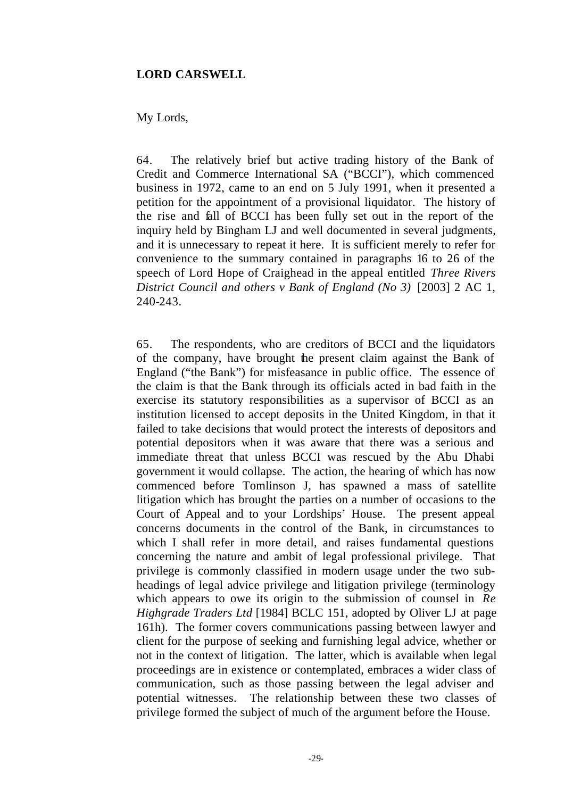# **LORD CARSWELL**

#### My Lords,

64. The relatively brief but active trading history of the Bank of Credit and Commerce International SA ("BCCI"), which commenced business in 1972, came to an end on 5 July 1991, when it presented a petition for the appointment of a provisional liquidator. The history of the rise and fall of BCCI has been fully set out in the report of the inquiry held by Bingham LJ and well documented in several judgments, and it is unnecessary to repeat it here. It is sufficient merely to refer for convenience to the summary contained in paragraphs 16 to 26 of the speech of Lord Hope of Craighead in the appeal entitled *Three Rivers District Council and others v Bank of England (No 3)* [2003] 2 AC 1, 240-243.

65. The respondents, who are creditors of BCCI and the liquidators of the company, have brought the present claim against the Bank of England ("the Bank") for misfeasance in public office. The essence of the claim is that the Bank through its officials acted in bad faith in the exercise its statutory responsibilities as a supervisor of BCCI as an institution licensed to accept deposits in the United Kingdom, in that it failed to take decisions that would protect the interests of depositors and potential depositors when it was aware that there was a serious and immediate threat that unless BCCI was rescued by the Abu Dhabi government it would collapse. The action, the hearing of which has now commenced before Tomlinson J, has spawned a mass of satellite litigation which has brought the parties on a number of occasions to the Court of Appeal and to your Lordships' House. The present appeal concerns documents in the control of the Bank, in circumstances to which I shall refer in more detail, and raises fundamental questions concerning the nature and ambit of legal professional privilege. That privilege is commonly classified in modern usage under the two subheadings of legal advice privilege and litigation privilege (terminology which appears to owe its origin to the submission of counsel in *Re Highgrade Traders Ltd* [1984] BCLC 151, adopted by Oliver LJ at page 161h). The former covers communications passing between lawyer and client for the purpose of seeking and furnishing legal advice, whether or not in the context of litigation. The latter, which is available when legal proceedings are in existence or contemplated, embraces a wider class of communication, such as those passing between the legal adviser and potential witnesses. The relationship between these two classes of privilege formed the subject of much of the argument before the House.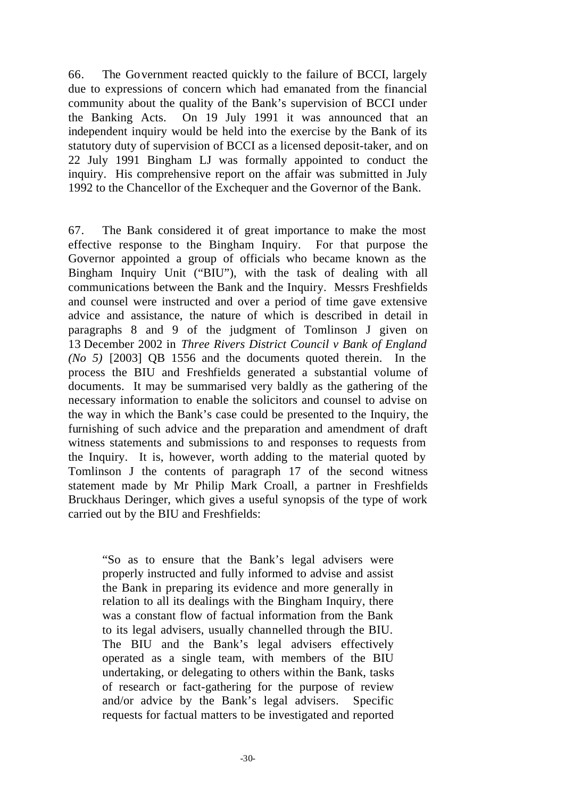66. The Government reacted quickly to the failure of BCCI, largely due to expressions of concern which had emanated from the financial community about the quality of the Bank's supervision of BCCI under the Banking Acts. On 19 July 1991 it was announced that an independent inquiry would be held into the exercise by the Bank of its statutory duty of supervision of BCCI as a licensed deposit-taker, and on 22 July 1991 Bingham LJ was formally appointed to conduct the inquiry. His comprehensive report on the affair was submitted in July 1992 to the Chancellor of the Exchequer and the Governor of the Bank.

67. The Bank considered it of great importance to make the most effective response to the Bingham Inquiry. For that purpose the Governor appointed a group of officials who became known as the Bingham Inquiry Unit ("BIU"), with the task of dealing with all communications between the Bank and the Inquiry. Messrs Freshfields and counsel were instructed and over a period of time gave extensive advice and assistance, the nature of which is described in detail in paragraphs 8 and 9 of the judgment of Tomlinson J given on 13 December 2002 in *Three Rivers District Council v Bank of England (No 5)* [2003] QB 1556 and the documents quoted therein. In the process the BIU and Freshfields generated a substantial volume of documents. It may be summarised very baldly as the gathering of the necessary information to enable the solicitors and counsel to advise on the way in which the Bank's case could be presented to the Inquiry, the furnishing of such advice and the preparation and amendment of draft witness statements and submissions to and responses to requests from the Inquiry. It is, however, worth adding to the material quoted by Tomlinson J the contents of paragraph 17 of the second witness statement made by Mr Philip Mark Croall, a partner in Freshfields Bruckhaus Deringer, which gives a useful synopsis of the type of work carried out by the BIU and Freshfields:

"So as to ensure that the Bank's legal advisers were properly instructed and fully informed to advise and assist the Bank in preparing its evidence and more generally in relation to all its dealings with the Bingham Inquiry, there was a constant flow of factual information from the Bank to its legal advisers, usually channelled through the BIU. The BIU and the Bank's legal advisers effectively operated as a single team, with members of the BIU undertaking, or delegating to others within the Bank, tasks of research or fact-gathering for the purpose of review and/or advice by the Bank's legal advisers. Specific requests for factual matters to be investigated and reported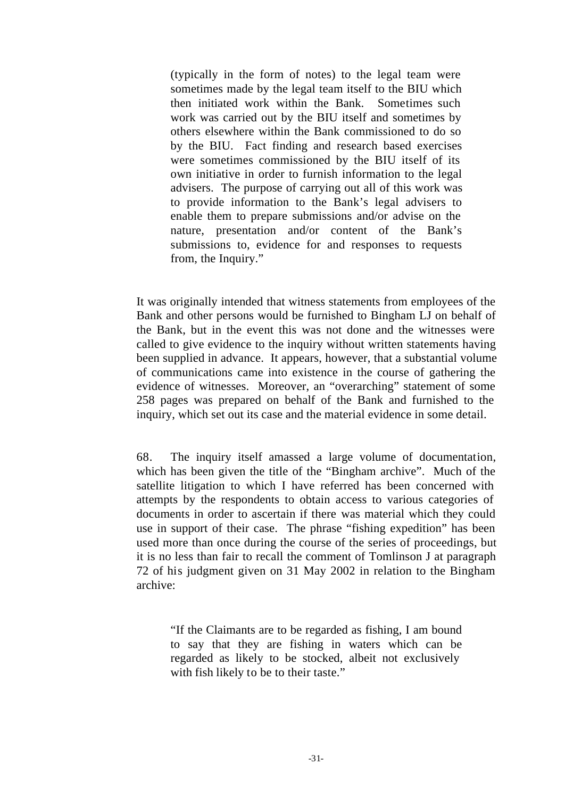(typically in the form of notes) to the legal team were sometimes made by the legal team itself to the BIU which then initiated work within the Bank. Sometimes such work was carried out by the BIU itself and sometimes by others elsewhere within the Bank commissioned to do so by the BIU. Fact finding and research based exercises were sometimes commissioned by the BIU itself of its own initiative in order to furnish information to the legal advisers. The purpose of carrying out all of this work was to provide information to the Bank's legal advisers to enable them to prepare submissions and/or advise on the nature, presentation and/or content of the Bank's submissions to, evidence for and responses to requests from, the Inquiry."

It was originally intended that witness statements from employees of the Bank and other persons would be furnished to Bingham LJ on behalf of the Bank, but in the event this was not done and the witnesses were called to give evidence to the inquiry without written statements having been supplied in advance. It appears, however, that a substantial volume of communications came into existence in the course of gathering the evidence of witnesses. Moreover, an "overarching" statement of some 258 pages was prepared on behalf of the Bank and furnished to the inquiry, which set out its case and the material evidence in some detail.

68. The inquiry itself amassed a large volume of documentation, which has been given the title of the "Bingham archive". Much of the satellite litigation to which I have referred has been concerned with attempts by the respondents to obtain access to various categories of documents in order to ascertain if there was material which they could use in support of their case. The phrase "fishing expedition" has been used more than once during the course of the series of proceedings, but it is no less than fair to recall the comment of Tomlinson J at paragraph 72 of his judgment given on 31 May 2002 in relation to the Bingham archive:

"If the Claimants are to be regarded as fishing, I am bound to say that they are fishing in waters which can be regarded as likely to be stocked, albeit not exclusively with fish likely to be to their taste."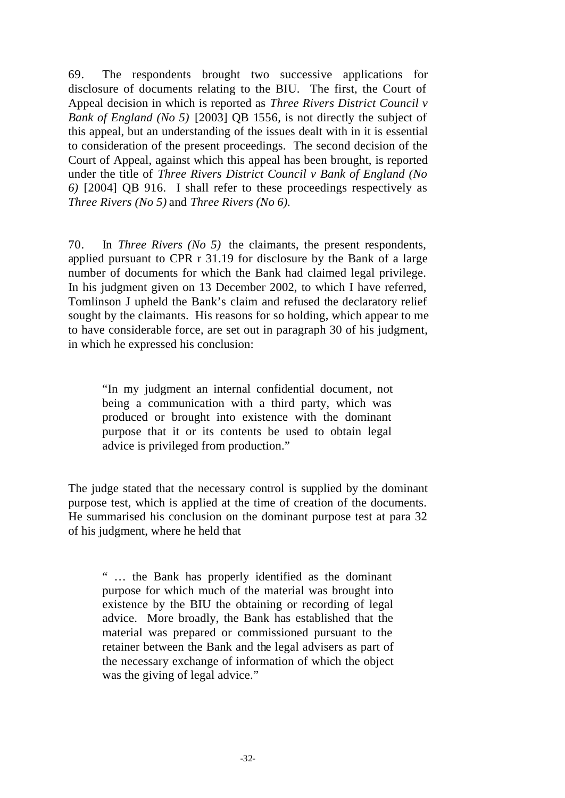69. The respondents brought two successive applications for disclosure of documents relating to the BIU. The first, the Court of Appeal decision in which is reported as *Three Rivers District Council v Bank of England (No 5)* [2003] QB 1556*,* is not directly the subject of this appeal, but an understanding of the issues dealt with in it is essential to consideration of the present proceedings. The second decision of the Court of Appeal, against which this appeal has been brought, is reported under the title of *Three Rivers District Council v Bank of England (No 6)* [2004] QB 916.I shall refer to these proceedings respectively as *Three Rivers (No 5)* and *Three Rivers (No 6).*

70. In *Three Rivers (No 5)* the claimants, the present respondents, applied pursuant to CPR r 31.19 for disclosure by the Bank of a large number of documents for which the Bank had claimed legal privilege. In his judgment given on 13 December 2002, to which I have referred, Tomlinson J upheld the Bank's claim and refused the declaratory relief sought by the claimants. His reasons for so holding, which appear to me to have considerable force, are set out in paragraph 30 of his judgment, in which he expressed his conclusion:

"In my judgment an internal confidential document, not being a communication with a third party, which was produced or brought into existence with the dominant purpose that it or its contents be used to obtain legal advice is privileged from production."

The judge stated that the necessary control is supplied by the dominant purpose test, which is applied at the time of creation of the documents. He summarised his conclusion on the dominant purpose test at para 32 of his judgment, where he held that

" … the Bank has properly identified as the dominant purpose for which much of the material was brought into existence by the BIU the obtaining or recording of legal advice. More broadly, the Bank has established that the material was prepared or commissioned pursuant to the retainer between the Bank and the legal advisers as part of the necessary exchange of information of which the object was the giving of legal advice."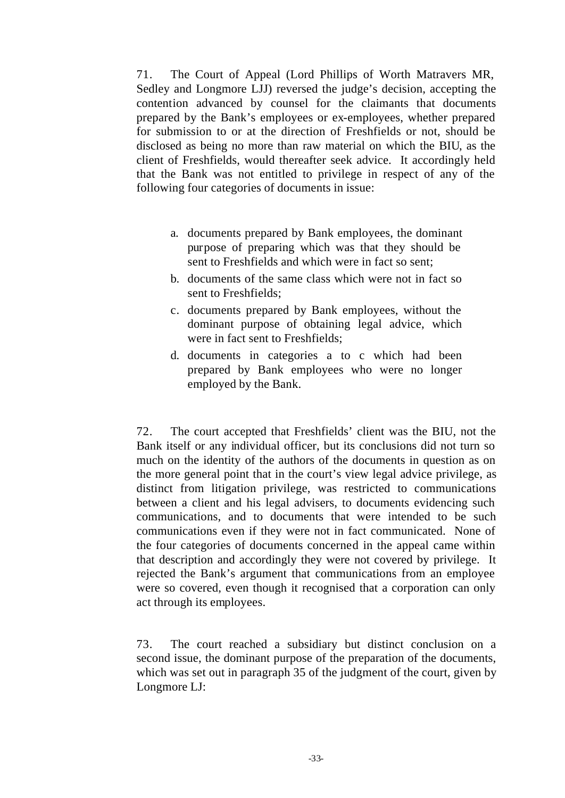71. The Court of Appeal (Lord Phillips of Worth Matravers MR, Sedley and Longmore LJJ) reversed the judge's decision, accepting the contention advanced by counsel for the claimants that documents prepared by the Bank's employees or ex-employees, whether prepared for submission to or at the direction of Freshfields or not, should be disclosed as being no more than raw material on which the BIU, as the client of Freshfields, would thereafter seek advice. It accordingly held that the Bank was not entitled to privilege in respect of any of the following four categories of documents in issue:

- a. documents prepared by Bank employees, the dominant purpose of preparing which was that they should be sent to Freshfields and which were in fact so sent;
- b. documents of the same class which were not in fact so sent to Freshfields;
- c. documents prepared by Bank employees, without the dominant purpose of obtaining legal advice, which were in fact sent to Freshfields;
- d. documents in categories a to c which had been prepared by Bank employees who were no longer employed by the Bank.

72. The court accepted that Freshfields' client was the BIU, not the Bank itself or any individual officer, but its conclusions did not turn so much on the identity of the authors of the documents in question as on the more general point that in the court's view legal advice privilege, as distinct from litigation privilege, was restricted to communications between a client and his legal advisers, to documents evidencing such communications, and to documents that were intended to be such communications even if they were not in fact communicated. None of the four categories of documents concerned in the appeal came within that description and accordingly they were not covered by privilege. It rejected the Bank's argument that communications from an employee were so covered, even though it recognised that a corporation can only act through its employees.

73. The court reached a subsidiary but distinct conclusion on a second issue, the dominant purpose of the preparation of the documents, which was set out in paragraph 35 of the judgment of the court, given by Longmore LJ: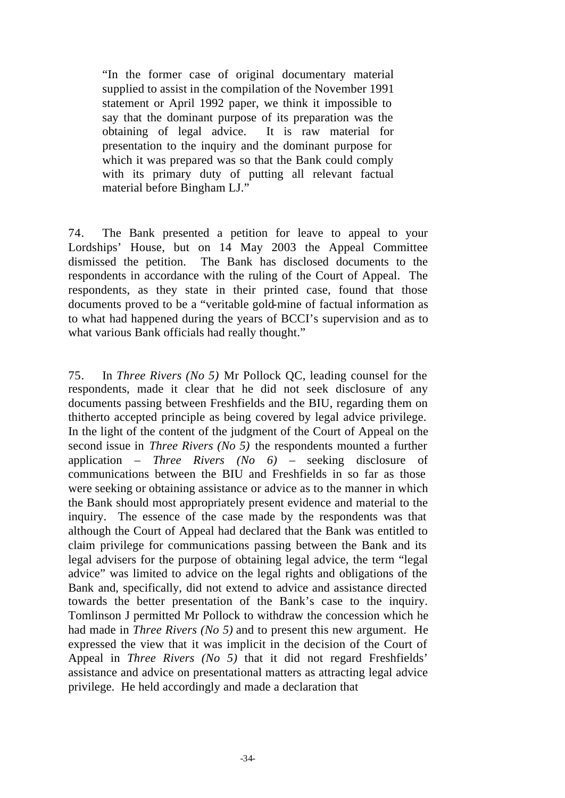"In the former case of original documentary material supplied to assist in the compilation of the November 1991 statement or April 1992 paper, we think it impossible to say that the dominant purpose of its preparation was the obtaining of legal advice. It is raw material for presentation to the inquiry and the dominant purpose for which it was prepared was so that the Bank could comply with its primary duty of putting all relevant factual material before Bingham LJ."

74. The Bank presented a petition for leave to appeal to your Lordships' House, but on 14 May 2003 the Appeal Committee dismissed the petition. The Bank has disclosed documents to the respondents in accordance with the ruling of the Court of Appeal. The respondents, as they state in their printed case, found that those documents proved to be a "veritable gold-mine of factual information as to what had happened during the years of BCCI's supervision and as to what various Bank officials had really thought."

75. In *Three Rivers (No 5)* Mr Pollock QC, leading counsel for the respondents, made it clear that he did not seek disclosure of any documents passing between Freshfields and the BIU, regarding them on thitherto accepted principle as being covered by legal advice privilege. In the light of the content of the judgment of the Court of Appeal on the second issue in *Three Rivers (No 5)* the respondents mounted a further application – *Three Rivers (No 6) –* seeking disclosure of communications between the BIU and Freshfields in so far as those were seeking or obtaining assistance or advice as to the manner in which the Bank should most appropriately present evidence and material to the inquiry. The essence of the case made by the respondents was that although the Court of Appeal had declared that the Bank was entitled to claim privilege for communications passing between the Bank and its legal advisers for the purpose of obtaining legal advice, the term "legal advice" was limited to advice on the legal rights and obligations of the Bank and, specifically, did not extend to advice and assistance directed towards the better presentation of the Bank's case to the inquiry. Tomlinson J permitted Mr Pollock to withdraw the concession which he had made in *Three Rivers (No 5)* and to present this new argument. He expressed the view that it was implicit in the decision of the Court of Appeal in *Three Rivers (No 5)* that it did not regard Freshfields' assistance and advice on presentational matters as attracting legal advice privilege. He held accordingly and made a declaration that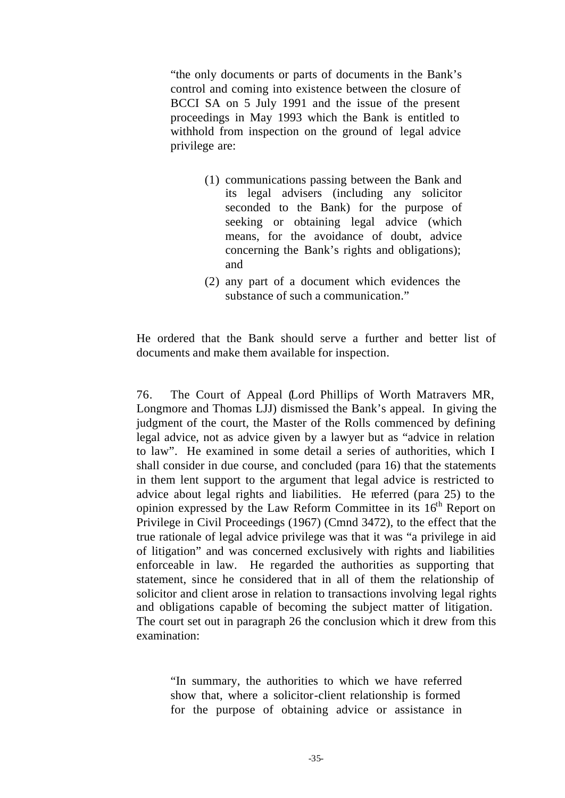"the only documents or parts of documents in the Bank's control and coming into existence between the closure of BCCI SA on 5 July 1991 and the issue of the present proceedings in May 1993 which the Bank is entitled to withhold from inspection on the ground of legal advice privilege are:

- (1) communications passing between the Bank and its legal advisers (including any solicitor seconded to the Bank) for the purpose of seeking or obtaining legal advice (which means, for the avoidance of doubt, advice concerning the Bank's rights and obligations); and
- (2) any part of a document which evidences the substance of such a communication."

He ordered that the Bank should serve a further and better list of documents and make them available for inspection.

76. The Court of Appeal (Lord Phillips of Worth Matravers MR, Longmore and Thomas LJJ) dismissed the Bank's appeal. In giving the judgment of the court, the Master of the Rolls commenced by defining legal advice, not as advice given by a lawyer but as "advice in relation to law". He examined in some detail a series of authorities, which I shall consider in due course, and concluded (para 16) that the statements in them lent support to the argument that legal advice is restricted to advice about legal rights and liabilities. He referred (para 25) to the opinion expressed by the Law Reform Committee in its  $16<sup>th</sup>$  Report on Privilege in Civil Proceedings (1967) (Cmnd 3472), to the effect that the true rationale of legal advice privilege was that it was "a privilege in aid of litigation" and was concerned exclusively with rights and liabilities enforceable in law. He regarded the authorities as supporting that statement, since he considered that in all of them the relationship of solicitor and client arose in relation to transactions involving legal rights and obligations capable of becoming the subject matter of litigation. The court set out in paragraph 26 the conclusion which it drew from this examination:

"In summary, the authorities to which we have referred show that, where a solicitor-client relationship is formed for the purpose of obtaining advice or assistance in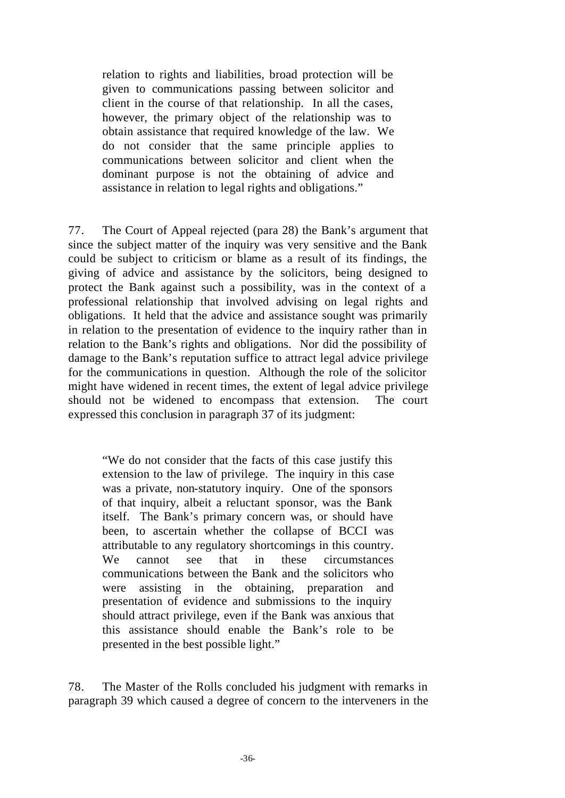relation to rights and liabilities, broad protection will be given to communications passing between solicitor and client in the course of that relationship. In all the cases, however, the primary object of the relationship was to obtain assistance that required knowledge of the law. We do not consider that the same principle applies to communications between solicitor and client when the dominant purpose is not the obtaining of advice and assistance in relation to legal rights and obligations."

77. The Court of Appeal rejected (para 28) the Bank's argument that since the subject matter of the inquiry was very sensitive and the Bank could be subject to criticism or blame as a result of its findings, the giving of advice and assistance by the solicitors, being designed to protect the Bank against such a possibility, was in the context of a professional relationship that involved advising on legal rights and obligations. It held that the advice and assistance sought was primarily in relation to the presentation of evidence to the inquiry rather than in relation to the Bank's rights and obligations. Nor did the possibility of damage to the Bank's reputation suffice to attract legal advice privilege for the communications in question. Although the role of the solicitor might have widened in recent times, the extent of legal advice privilege should not be widened to encompass that extension. The court expressed this conclusion in paragraph 37 of its judgment:

"We do not consider that the facts of this case justify this extension to the law of privilege. The inquiry in this case was a private, non-statutory inquiry. One of the sponsors of that inquiry, albeit a reluctant sponsor, was the Bank itself. The Bank's primary concern was, or should have been, to ascertain whether the collapse of BCCI was attributable to any regulatory shortcomings in this country. We cannot see that in these circumstances communications between the Bank and the solicitors who were assisting in the obtaining, preparation and presentation of evidence and submissions to the inquiry should attract privilege, even if the Bank was anxious that this assistance should enable the Bank's role to be presented in the best possible light."

78. The Master of the Rolls concluded his judgment with remarks in paragraph 39 which caused a degree of concern to the interveners in the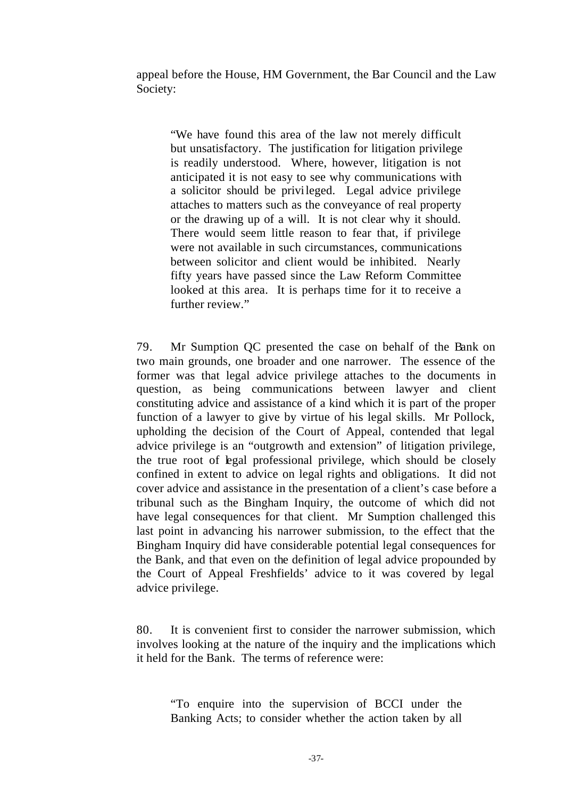appeal before the House, HM Government, the Bar Council and the Law Society:

"We have found this area of the law not merely difficult but unsatisfactory. The justification for litigation privilege is readily understood. Where, however, litigation is not anticipated it is not easy to see why communications with a solicitor should be privileged. Legal advice privilege attaches to matters such as the conveyance of real property or the drawing up of a will. It is not clear why it should. There would seem little reason to fear that, if privilege were not available in such circumstances, communications between solicitor and client would be inhibited. Nearly fifty years have passed since the Law Reform Committee looked at this area. It is perhaps time for it to receive a further review."

79. Mr Sumption QC presented the case on behalf of the Bank on two main grounds, one broader and one narrower. The essence of the former was that legal advice privilege attaches to the documents in question, as being communications between lawyer and client constituting advice and assistance of a kind which it is part of the proper function of a lawyer to give by virtue of his legal skills. Mr Pollock, upholding the decision of the Court of Appeal, contended that legal advice privilege is an "outgrowth and extension" of litigation privilege, the true root of legal professional privilege, which should be closely confined in extent to advice on legal rights and obligations. It did not cover advice and assistance in the presentation of a client's case before a tribunal such as the Bingham Inquiry, the outcome of which did not have legal consequences for that client. Mr Sumption challenged this last point in advancing his narrower submission, to the effect that the Bingham Inquiry did have considerable potential legal consequences for the Bank, and that even on the definition of legal advice propounded by the Court of Appeal Freshfields' advice to it was covered by legal advice privilege.

80. It is convenient first to consider the narrower submission, which involves looking at the nature of the inquiry and the implications which it held for the Bank. The terms of reference were:

"To enquire into the supervision of BCCI under the Banking Acts; to consider whether the action taken by all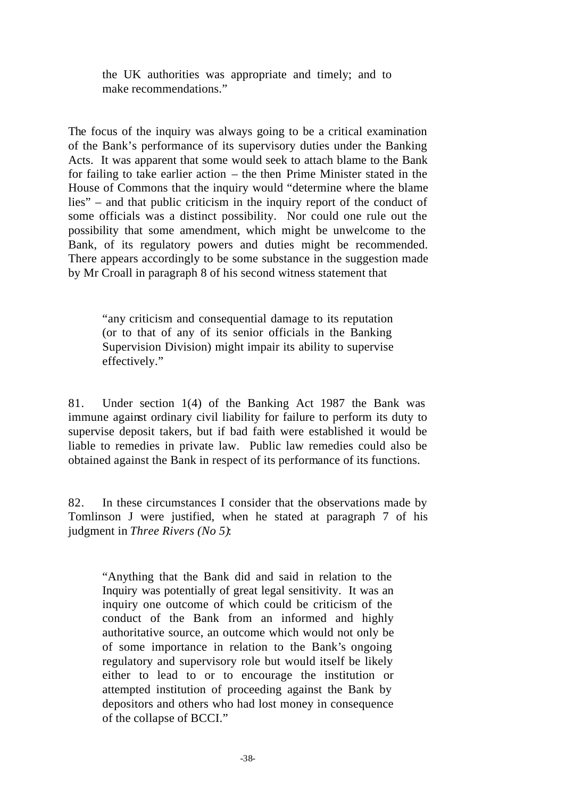the UK authorities was appropriate and timely; and to make recommendations."

The focus of the inquiry was always going to be a critical examination of the Bank's performance of its supervisory duties under the Banking Acts. It was apparent that some would seek to attach blame to the Bank for failing to take earlier action – the then Prime Minister stated in the House of Commons that the inquiry would "determine where the blame lies" – and that public criticism in the inquiry report of the conduct of some officials was a distinct possibility. Nor could one rule out the possibility that some amendment, which might be unwelcome to the Bank, of its regulatory powers and duties might be recommended. There appears accordingly to be some substance in the suggestion made by Mr Croall in paragraph 8 of his second witness statement that

"any criticism and consequential damage to its reputation (or to that of any of its senior officials in the Banking Supervision Division) might impair its ability to supervise effectively."

81. Under section 1(4) of the Banking Act 1987 the Bank was immune against ordinary civil liability for failure to perform its duty to supervise deposit takers, but if bad faith were established it would be liable to remedies in private law. Public law remedies could also be obtained against the Bank in respect of its performance of its functions.

82. In these circumstances I consider that the observations made by Tomlinson J were justified, when he stated at paragraph 7 of his judgment in *Three Rivers (No 5)*:

"Anything that the Bank did and said in relation to the Inquiry was potentially of great legal sensitivity. It was an inquiry one outcome of which could be criticism of the conduct of the Bank from an informed and highly authoritative source, an outcome which would not only be of some importance in relation to the Bank's ongoing regulatory and supervisory role but would itself be likely either to lead to or to encourage the institution or attempted institution of proceeding against the Bank by depositors and others who had lost money in consequence of the collapse of BCCI."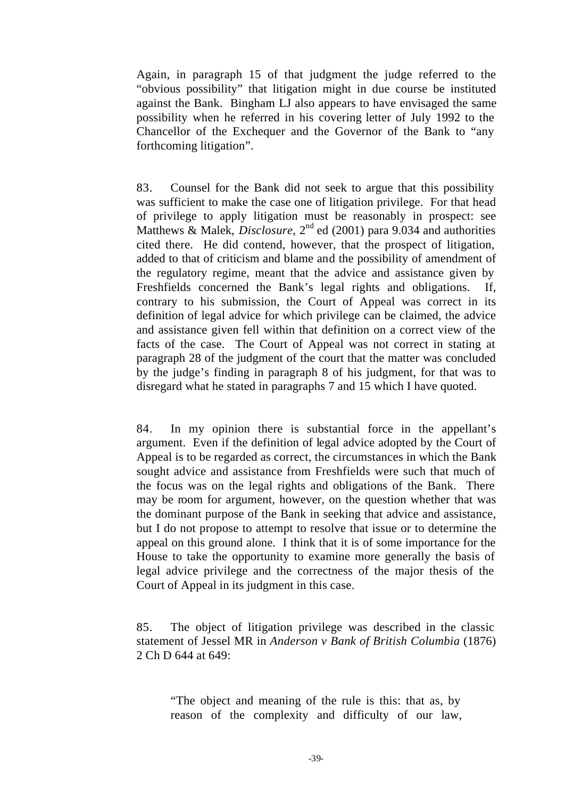Again, in paragraph 15 of that judgment the judge referred to the "obvious possibility" that litigation might in due course be instituted against the Bank. Bingham LJ also appears to have envisaged the same possibility when he referred in his covering letter of July 1992 to the Chancellor of the Exchequer and the Governor of the Bank to "any forthcoming litigation".

83. Counsel for the Bank did not seek to argue that this possibility was sufficient to make the case one of litigation privilege. For that head of privilege to apply litigation must be reasonably in prospect: see Matthews & Malek, *Disclosure*, 2<sup>nd</sup> ed (2001) para 9.034 and authorities cited there. He did contend, however, that the prospect of litigation, added to that of criticism and blame and the possibility of amendment of the regulatory regime, meant that the advice and assistance given by Freshfields concerned the Bank's legal rights and obligations. If, contrary to his submission, the Court of Appeal was correct in its definition of legal advice for which privilege can be claimed, the advice and assistance given fell within that definition on a correct view of the facts of the case. The Court of Appeal was not correct in stating at paragraph 28 of the judgment of the court that the matter was concluded by the judge's finding in paragraph 8 of his judgment, for that was to disregard what he stated in paragraphs 7 and 15 which I have quoted.

84. In my opinion there is substantial force in the appellant's argument. Even if the definition of legal advice adopted by the Court of Appeal is to be regarded as correct, the circumstances in which the Bank sought advice and assistance from Freshfields were such that much of the focus was on the legal rights and obligations of the Bank. There may be room for argument, however, on the question whether that was the dominant purpose of the Bank in seeking that advice and assistance, but I do not propose to attempt to resolve that issue or to determine the appeal on this ground alone. I think that it is of some importance for the House to take the opportunity to examine more generally the basis of legal advice privilege and the correctness of the major thesis of the Court of Appeal in its judgment in this case.

85. The object of litigation privilege was described in the classic statement of Jessel MR in *Anderson v Bank of British Columbia* (1876) 2 Ch D 644 at 649:

"The object and meaning of the rule is this: that as, by reason of the complexity and difficulty of our law,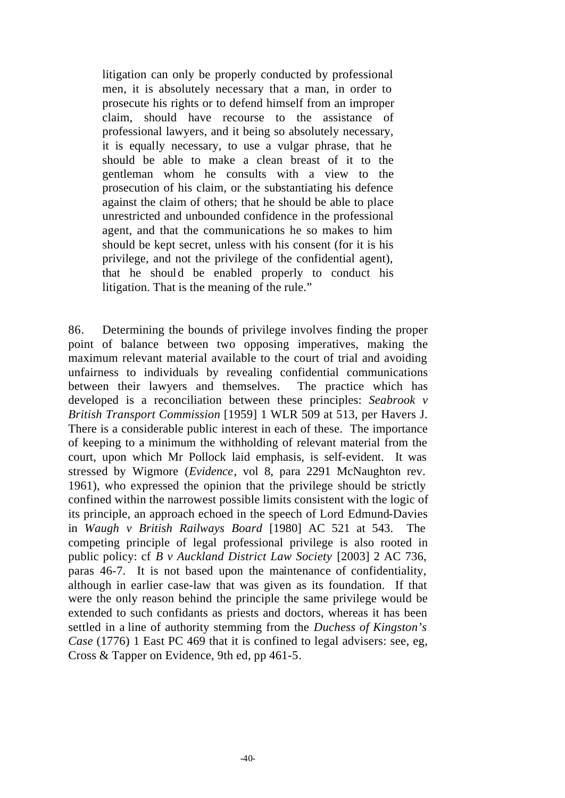litigation can only be properly conducted by professional men, it is absolutely necessary that a man, in order to prosecute his rights or to defend himself from an improper claim, should have recourse to the assistance of professional lawyers, and it being so absolutely necessary, it is equally necessary, to use a vulgar phrase, that he should be able to make a clean breast of it to the gentleman whom he consults with a view to the prosecution of his claim, or the substantiating his defence against the claim of others; that he should be able to place unrestricted and unbounded confidence in the professional agent, and that the communications he so makes to him should be kept secret, unless with his consent (for it is his privilege, and not the privilege of the confidential agent), that he should be enabled properly to conduct his litigation. That is the meaning of the rule."

86. Determining the bounds of privilege involves finding the proper point of balance between two opposing imperatives, making the maximum relevant material available to the court of trial and avoiding unfairness to individuals by revealing confidential communications between their lawyers and themselves. The practice which has developed is a reconciliation between these principles: *Seabrook v British Transport Commission* [1959] 1 WLR 509 at 513, per Havers J. There is a considerable public interest in each of these. The importance of keeping to a minimum the withholding of relevant material from the court, upon which Mr Pollock laid emphasis, is self-evident. It was stressed by Wigmore (*Evidence*, vol 8, para 2291 McNaughton rev. 1961), who expressed the opinion that the privilege should be strictly confined within the narrowest possible limits consistent with the logic of its principle, an approach echoed in the speech of Lord Edmund-Davies in *Waugh v British Railways Board* [1980] AC 521 at 543. The competing principle of legal professional privilege is also rooted in public policy: cf *B v Auckland District Law Society* [2003] 2 AC 736, paras 46-7. It is not based upon the maintenance of confidentiality, although in earlier case-law that was given as its foundation. If that were the only reason behind the principle the same privilege would be extended to such confidants as priests and doctors, whereas it has been settled in a line of authority stemming from the *Duchess of Kingston's Case* (1776) 1 East PC 469 that it is confined to legal advisers: see, eg, Cross & Tapper on Evidence, 9th ed, pp 461-5.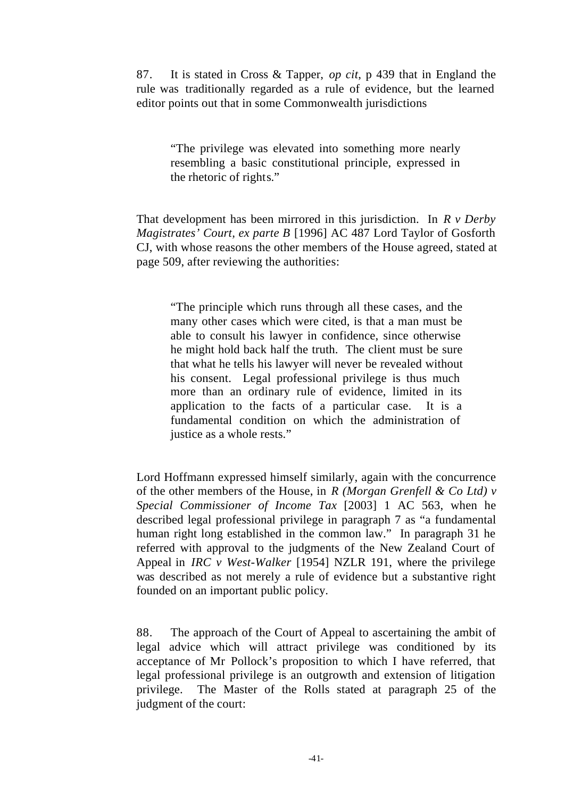87. It is stated in Cross & Tapper, *op cit*, p 439 that in England the rule was traditionally regarded as a rule of evidence, but the learned editor points out that in some Commonwealth jurisdictions

"The privilege was elevated into something more nearly resembling a basic constitutional principle, expressed in the rhetoric of rights."

That development has been mirrored in this jurisdiction. In *R v Derby Magistrates' Court, ex parte B* [1996] AC 487 Lord Taylor of Gosforth CJ, with whose reasons the other members of the House agreed, stated at page 509, after reviewing the authorities:

"The principle which runs through all these cases, and the many other cases which were cited, is that a man must be able to consult his lawyer in confidence, since otherwise he might hold back half the truth. The client must be sure that what he tells his lawyer will never be revealed without his consent. Legal professional privilege is thus much more than an ordinary rule of evidence, limited in its application to the facts of a particular case. It is a fundamental condition on which the administration of justice as a whole rests."

Lord Hoffmann expressed himself similarly, again with the concurrence of the other members of the House, in *R (Morgan Grenfell & Co Ltd) v Special Commissioner of Income Tax* [2003] 1 AC 563, when he described legal professional privilege in paragraph 7 as "a fundamental human right long established in the common law." In paragraph 31 he referred with approval to the judgments of the New Zealand Court of Appeal in *IRC v West-Walker* [1954] NZLR 191, where the privilege was described as not merely a rule of evidence but a substantive right founded on an important public policy.

88. The approach of the Court of Appeal to ascertaining the ambit of legal advice which will attract privilege was conditioned by its acceptance of Mr Pollock's proposition to which I have referred, that legal professional privilege is an outgrowth and extension of litigation privilege. The Master of the Rolls stated at paragraph 25 of the judgment of the court: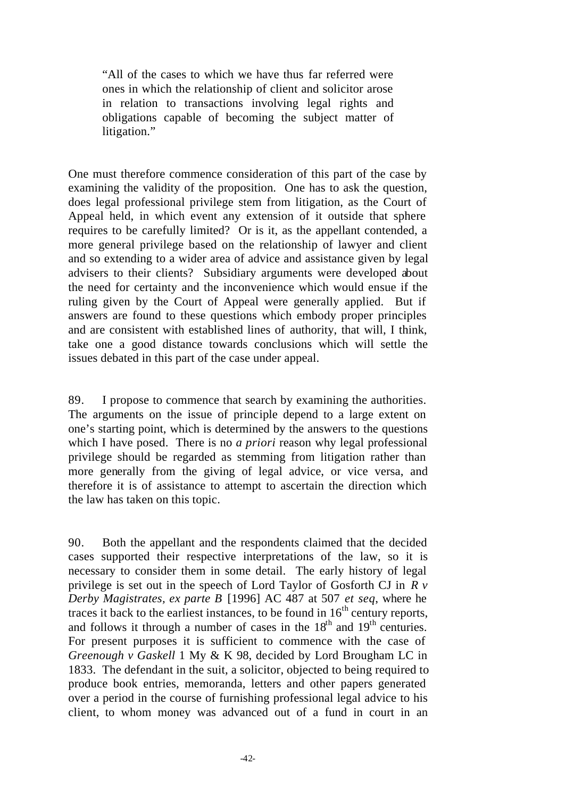"All of the cases to which we have thus far referred were ones in which the relationship of client and solicitor arose in relation to transactions involving legal rights and obligations capable of becoming the subject matter of litigation."

One must therefore commence consideration of this part of the case by examining the validity of the proposition. One has to ask the question, does legal professional privilege stem from litigation, as the Court of Appeal held, in which event any extension of it outside that sphere requires to be carefully limited? Or is it, as the appellant contended, a more general privilege based on the relationship of lawyer and client and so extending to a wider area of advice and assistance given by legal advisers to their clients? Subsidiary arguments were developed about the need for certainty and the inconvenience which would ensue if the ruling given by the Court of Appeal were generally applied. But if answers are found to these questions which embody proper principles and are consistent with established lines of authority, that will, I think, take one a good distance towards conclusions which will settle the issues debated in this part of the case under appeal.

89. I propose to commence that search by examining the authorities. The arguments on the issue of principle depend to a large extent on one's starting point, which is determined by the answers to the questions which I have posed. There is no *a priori* reason why legal professional privilege should be regarded as stemming from litigation rather than more generally from the giving of legal advice, or vice versa, and therefore it is of assistance to attempt to ascertain the direction which the law has taken on this topic.

90. Both the appellant and the respondents claimed that the decided cases supported their respective interpretations of the law, so it is necessary to consider them in some detail. The early history of legal privilege is set out in the speech of Lord Taylor of Gosforth CJ in *R v Derby Magistrates, ex parte B* [1996] AC 487 at 507 *et seq*, where he traces it back to the earliest instances, to be found in  $16<sup>th</sup>$  century reports, and follows it through a number of cases in the  $18<sup>th</sup>$  and  $19<sup>th</sup>$  centuries. For present purposes it is sufficient to commence with the case of *Greenough v Gaskell* 1 My & K 98, decided by Lord Brougham LC in 1833. The defendant in the suit, a solicitor, objected to being required to produce book entries, memoranda, letters and other papers generated over a period in the course of furnishing professional legal advice to his client, to whom money was advanced out of a fund in court in an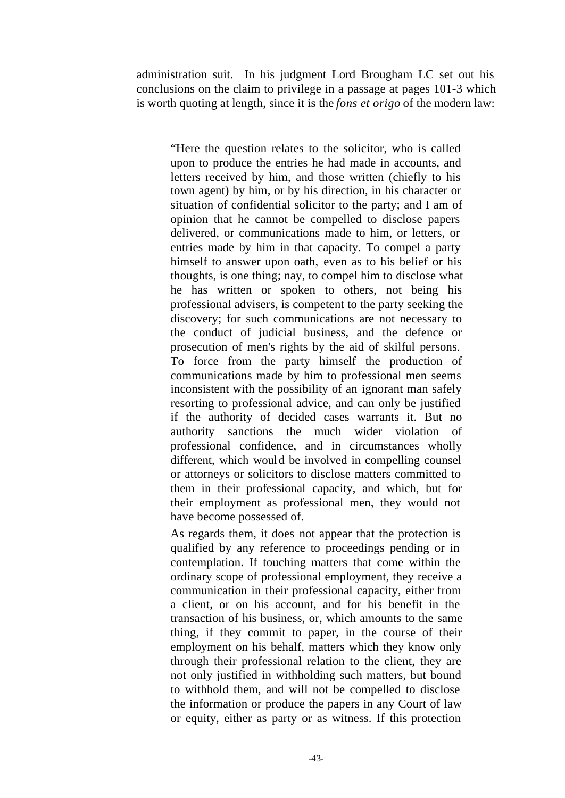administration suit. In his judgment Lord Brougham LC set out his conclusions on the claim to privilege in a passage at pages 101-3 which is worth quoting at length, since it is the *fons et origo* of the modern law:

"Here the question relates to the solicitor, who is called upon to produce the entries he had made in accounts, and letters received by him, and those written (chiefly to his town agent) by him, or by his direction, in his character or situation of confidential solicitor to the party; and I am of opinion that he cannot be compelled to disclose papers delivered, or communications made to him, or letters, or entries made by him in that capacity. To compel a party himself to answer upon oath, even as to his belief or his thoughts, is one thing; nay, to compel him to disclose what he has written or spoken to others, not being his professional advisers, is competent to the party seeking the discovery; for such communications are not necessary to the conduct of judicial business, and the defence or prosecution of men's rights by the aid of skilful persons. To force from the party himself the production of communications made by him to professional men seems inconsistent with the possibility of an ignorant man safely resorting to professional advice, and can only be justified if the authority of decided cases warrants it. But no authority sanctions the much wider violation of professional confidence, and in circumstances wholly different, which would be involved in compelling counsel or attorneys or solicitors to disclose matters committed to them in their professional capacity, and which, but for their employment as professional men, they would not have become possessed of.

As regards them, it does not appear that the protection is qualified by any reference to proceedings pending or in contemplation. If touching matters that come within the ordinary scope of professional employment, they receive a communication in their professional capacity, either from a client, or on his account, and for his benefit in the transaction of his business, or, which amounts to the same thing, if they commit to paper, in the course of their employment on his behalf, matters which they know only through their professional relation to the client, they are not only justified in withholding such matters, but bound to withhold them, and will not be compelled to disclose the information or produce the papers in any Court of law or equity, either as party or as witness. If this protection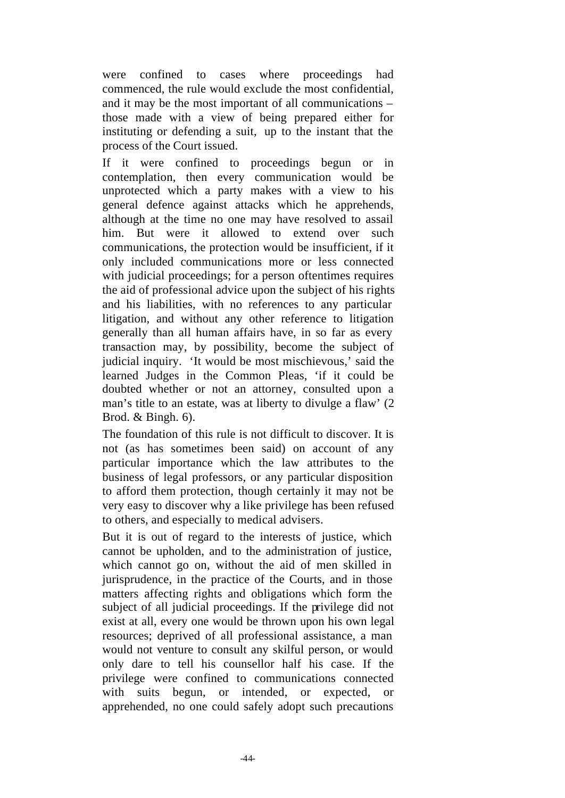were confined to cases where proceedings had commenced, the rule would exclude the most confidential, and it may be the most important of all communications – those made with a view of being prepared either for instituting or defending a suit, up to the instant that the process of the Court issued.

If it were confined to proceedings begun or in contemplation, then every communication would be unprotected which a party makes with a view to his general defence against attacks which he apprehends, although at the time no one may have resolved to assail him. But were it allowed to extend over such communications, the protection would be insufficient, if it only included communications more or less connected with judicial proceedings; for a person oftentimes requires the aid of professional advice upon the subject of his rights and his liabilities, with no references to any particular litigation, and without any other reference to litigation generally than all human affairs have, in so far as every transaction may, by possibility, become the subject of judicial inquiry. 'It would be most mischievous,' said the learned Judges in the Common Pleas, 'if it could be doubted whether or not an attorney, consulted upon a man's title to an estate, was at liberty to divulge a flaw' (2 Brod. & Bingh. 6).

The foundation of this rule is not difficult to discover. It is not (as has sometimes been said) on account of any particular importance which the law attributes to the business of legal professors, or any particular disposition to afford them protection, though certainly it may not be very easy to discover why a like privilege has been refused to others, and especially to medical advisers.

But it is out of regard to the interests of justice, which cannot be upholden, and to the administration of justice, which cannot go on, without the aid of men skilled in jurisprudence, in the practice of the Courts, and in those matters affecting rights and obligations which form the subject of all judicial proceedings. If the privilege did not exist at all, every one would be thrown upon his own legal resources; deprived of all professional assistance, a man would not venture to consult any skilful person, or would only dare to tell his counsellor half his case. If the privilege were confined to communications connected with suits begun, or intended, or expected, or apprehended, no one could safely adopt such precautions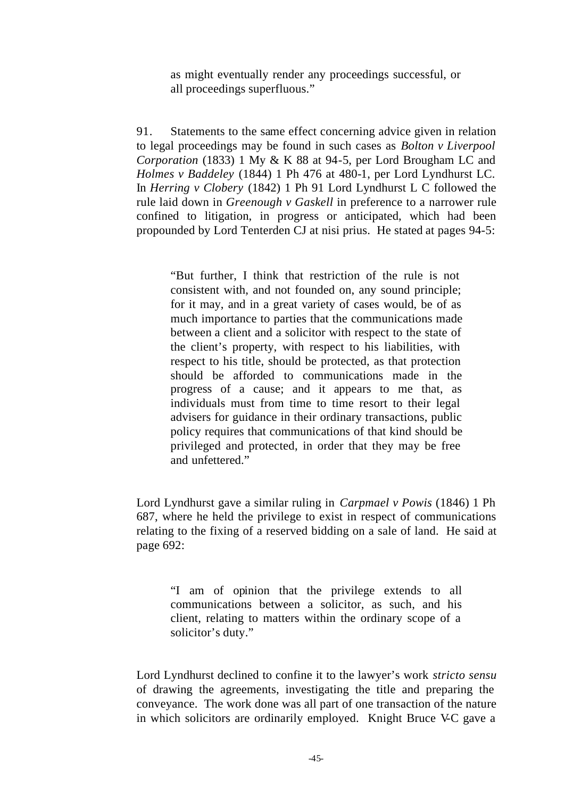as might eventually render any proceedings successful, or all proceedings superfluous."

91. Statements to the same effect concerning advice given in relation to legal proceedings may be found in such cases as *Bolton v Liverpool Corporation* (1833) 1 My & K 88 at 94-5, per Lord Brougham LC and *Holmes v Baddeley* (1844) 1 Ph 476 at 480-1, per Lord Lyndhurst LC. In *Herring v Clobery* (1842) 1 Ph 91 Lord Lyndhurst L C followed the rule laid down in *Greenough v Gaskell* in preference to a narrower rule confined to litigation, in progress or anticipated, which had been propounded by Lord Tenterden CJ at nisi prius. He stated at pages 94-5:

"But further, I think that restriction of the rule is not consistent with, and not founded on, any sound principle; for it may, and in a great variety of cases would, be of as much importance to parties that the communications made between a client and a solicitor with respect to the state of the client's property, with respect to his liabilities, with respect to his title, should be protected, as that protection should be afforded to communications made in the progress of a cause; and it appears to me that, as individuals must from time to time resort to their legal advisers for guidance in their ordinary transactions, public policy requires that communications of that kind should be privileged and protected, in order that they may be free and unfettered."

Lord Lyndhurst gave a similar ruling in *Carpmael v Powis* (1846) 1 Ph 687, where he held the privilege to exist in respect of communications relating to the fixing of a reserved bidding on a sale of land. He said at page 692:

"I am of opinion that the privilege extends to all communications between a solicitor, as such, and his client, relating to matters within the ordinary scope of a solicitor's duty."

Lord Lyndhurst declined to confine it to the lawyer's work *stricto sensu* of drawing the agreements, investigating the title and preparing the conveyance. The work done was all part of one transaction of the nature in which solicitors are ordinarily employed. Knight Bruce V-C gave a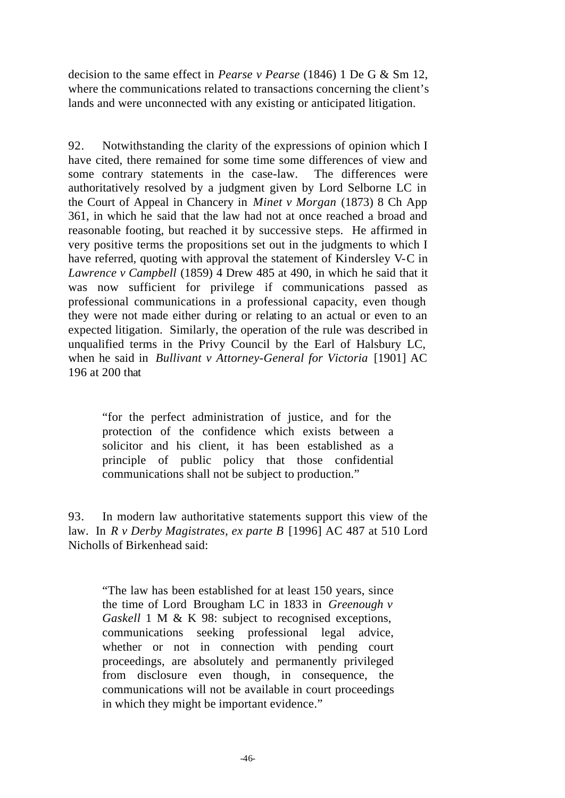decision to the same effect in *Pearse v Pearse* (1846) 1 De G & Sm 12, where the communications related to transactions concerning the client's lands and were unconnected with any existing or anticipated litigation.

92. Notwithstanding the clarity of the expressions of opinion which I have cited, there remained for some time some differences of view and some contrary statements in the case-law. The differences were authoritatively resolved by a judgment given by Lord Selborne LC in the Court of Appeal in Chancery in *Minet v Morgan* (1873) 8 Ch App 361, in which he said that the law had not at once reached a broad and reasonable footing, but reached it by successive steps. He affirmed in very positive terms the propositions set out in the judgments to which I have referred, quoting with approval the statement of Kindersley V-C in *Lawrence v Campbell* (1859) 4 Drew 485 at 490, in which he said that it was now sufficient for privilege if communications passed as professional communications in a professional capacity, even though they were not made either during or relating to an actual or even to an expected litigation. Similarly, the operation of the rule was described in unqualified terms in the Privy Council by the Earl of Halsbury LC, when he said in *Bullivant v Attorney-General for Victoria* [1901] AC 196 at 200 that

"for the perfect administration of justice, and for the protection of the confidence which exists between a solicitor and his client, it has been established as a principle of public policy that those confidential communications shall not be subject to production."

93. In modern law authoritative statements support this view of the law. In *R v Derby Magistrates, ex parte B* [1996] AC 487 at 510 Lord Nicholls of Birkenhead said:

"The law has been established for at least 150 years, since the time of Lord Brougham LC in 1833 in *Greenough v Gaskell* 1 M & K 98: subject to recognised exceptions, communications seeking professional legal advice, whether or not in connection with pending court proceedings, are absolutely and permanently privileged from disclosure even though, in consequence, the communications will not be available in court proceedings in which they might be important evidence."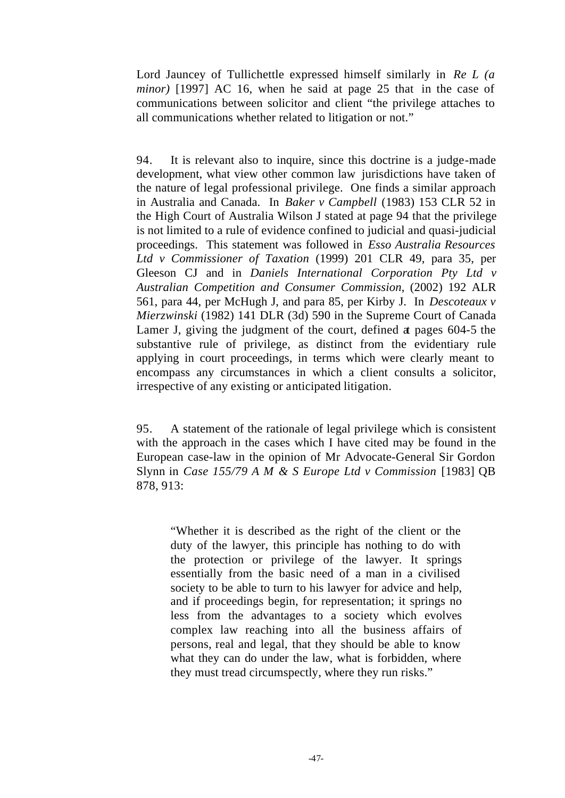Lord Jauncey of Tullichettle expressed himself similarly in *Re L (a minor*) [1997] AC 16, when he said at page 25 that in the case of communications between solicitor and client "the privilege attaches to all communications whether related to litigation or not."

94. It is relevant also to inquire, since this doctrine is a judge-made development, what view other common law jurisdictions have taken of the nature of legal professional privilege. One finds a similar approach in Australia and Canada. In *Baker v Campbell* (1983) 153 CLR 52 in the High Court of Australia Wilson J stated at page 94 that the privilege is not limited to a rule of evidence confined to judicial and quasi-judicial proceedings. This statement was followed in *Esso Australia Resources Ltd v Commissioner of Taxation* (1999) 201 CLR 49, para 35, per Gleeson CJ and in *Daniels International Corporation Pty Ltd v Australian Competition and Consumer Commission*, (2002) 192 ALR 561, para 44, per McHugh J, and para 85, per Kirby J. In *Descoteaux v Mierzwinski* (1982) 141 DLR (3d) 590 in the Supreme Court of Canada Lamer J, giving the judgment of the court, defined at pages 604-5 the substantive rule of privilege, as distinct from the evidentiary rule applying in court proceedings, in terms which were clearly meant to encompass any circumstances in which a client consults a solicitor, irrespective of any existing or anticipated litigation.

95. A statement of the rationale of legal privilege which is consistent with the approach in the cases which I have cited may be found in the European case-law in the opinion of Mr Advocate-General Sir Gordon Slynn in *Case 155/79 A M & S Europe Ltd v Commission* [1983] QB 878, 913:

"Whether it is described as the right of the client or the duty of the lawyer, this principle has nothing to do with the protection or privilege of the lawyer. It springs essentially from the basic need of a man in a civilised society to be able to turn to his lawyer for advice and help, and if proceedings begin, for representation; it springs no less from the advantages to a society which evolves complex law reaching into all the business affairs of persons, real and legal, that they should be able to know what they can do under the law, what is forbidden, where they must tread circumspectly, where they run risks."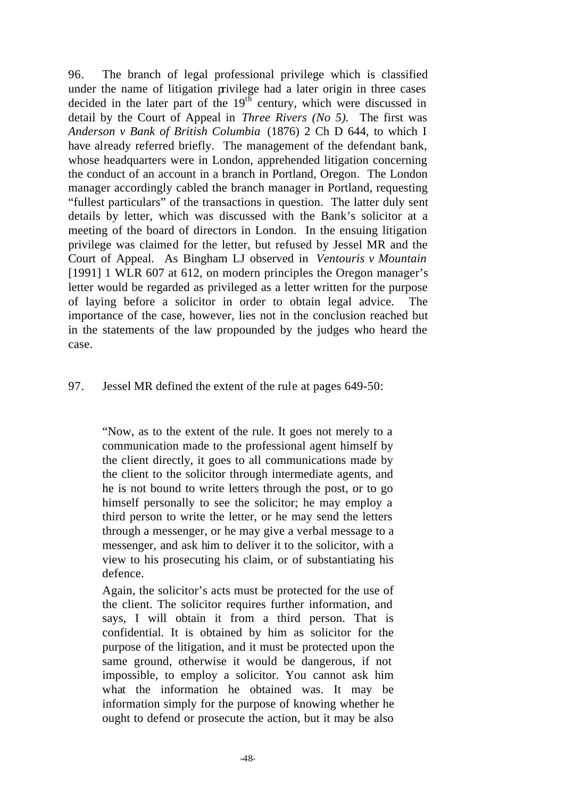96. The branch of legal professional privilege which is classified under the name of litigation privilege had a later origin in three cases decided in the later part of the  $19<sup>th</sup>$  century, which were discussed in detail by the Court of Appeal in *Three Rivers (No 5).* The first was *Anderson v Bank of British Columbia* (1876) 2 Ch D 644, to which I have already referred briefly. The management of the defendant bank, whose headquarters were in London, apprehended litigation concerning the conduct of an account in a branch in Portland, Oregon. The London manager accordingly cabled the branch manager in Portland, requesting "fullest particulars" of the transactions in question. The latter duly sent details by letter, which was discussed with the Bank's solicitor at a meeting of the board of directors in London. In the ensuing litigation privilege was claimed for the letter, but refused by Jessel MR and the Court of Appeal. As Bingham LJ observed in *Ventouris v Mountain*  [1991] 1 WLR 607 at 612, on modern principles the Oregon manager's letter would be regarded as privileged as a letter written for the purpose of laying before a solicitor in order to obtain legal advice. The importance of the case, however, lies not in the conclusion reached but in the statements of the law propounded by the judges who heard the case.

#### 97. Jessel MR defined the extent of the rule at pages 649-50:

"Now, as to the extent of the rule. It goes not merely to a communication made to the professional agent himself by the client directly, it goes to all communications made by the client to the solicitor through intermediate agents, and he is not bound to write letters through the post, or to go himself personally to see the solicitor; he may employ a third person to write the letter, or he may send the letters through a messenger, or he may give a verbal message to a messenger, and ask him to deliver it to the solicitor, with a view to his prosecuting his claim, or of substantiating his defence.

Again, the solicitor's acts must be protected for the use of the client. The solicitor requires further information, and says, I will obtain it from a third person. That is confidential. It is obtained by him as solicitor for the purpose of the litigation, and it must be protected upon the same ground, otherwise it would be dangerous, if not impossible, to employ a solicitor. You cannot ask him what the information he obtained was. It may be information simply for the purpose of knowing whether he ought to defend or prosecute the action, but it may be also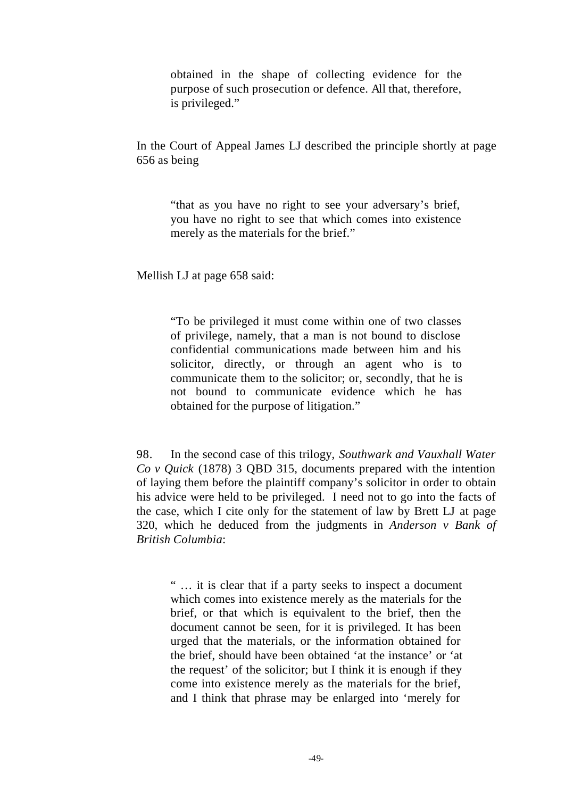obtained in the shape of collecting evidence for the purpose of such prosecution or defence. All that, therefore, is privileged."

In the Court of Appeal James LJ described the principle shortly at page 656 as being

"that as you have no right to see your adversary's brief, you have no right to see that which comes into existence merely as the materials for the brief."

Mellish LJ at page 658 said:

"To be privileged it must come within one of two classes of privilege, namely, that a man is not bound to disclose confidential communications made between him and his solicitor, directly, or through an agent who is to communicate them to the solicitor; or, secondly, that he is not bound to communicate evidence which he has obtained for the purpose of litigation."

98. In the second case of this trilogy, *Southwark and Vauxhall Water Co v Quick* (1878) 3 QBD 315, documents prepared with the intention of laying them before the plaintiff company's solicitor in order to obtain his advice were held to be privileged. I need not to go into the facts of the case, which I cite only for the statement of law by Brett LJ at page 320, which he deduced from the judgments in *Anderson v Bank of British Columbia*:

" … it is clear that if a party seeks to inspect a document which comes into existence merely as the materials for the brief, or that which is equivalent to the brief, then the document cannot be seen, for it is privileged. It has been urged that the materials, or the information obtained for the brief, should have been obtained 'at the instance' or 'at the request' of the solicitor; but I think it is enough if they come into existence merely as the materials for the brief, and I think that phrase may be enlarged into 'merely for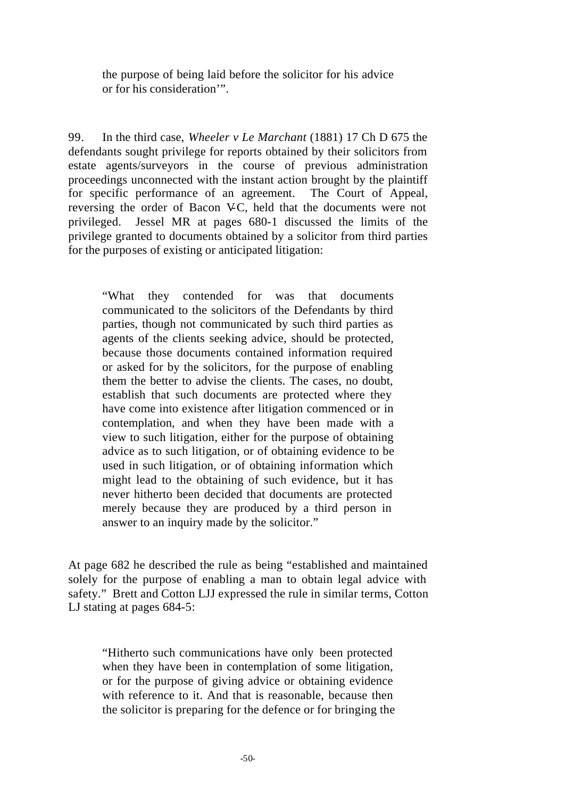the purpose of being laid before the solicitor for his advice or for his consideration'".

99. In the third case, *Wheeler v Le Marchant* (1881) 17 Ch D 675 the defendants sought privilege for reports obtained by their solicitors from estate agents/surveyors in the course of previous administration proceedings unconnected with the instant action brought by the plaintiff for specific performance of an agreement. The Court of Appeal, reversing the order of Bacon VC, held that the documents were not privileged. Jessel MR at pages 680-1 discussed the limits of the privilege granted to documents obtained by a solicitor from third parties for the purposes of existing or anticipated litigation:

"What they contended for was that documents communicated to the solicitors of the Defendants by third parties, though not communicated by such third parties as agents of the clients seeking advice, should be protected, because those documents contained information required or asked for by the solicitors, for the purpose of enabling them the better to advise the clients. The cases, no doubt, establish that such documents are protected where they have come into existence after litigation commenced or in contemplation, and when they have been made with a view to such litigation, either for the purpose of obtaining advice as to such litigation, or of obtaining evidence to be used in such litigation, or of obtaining information which might lead to the obtaining of such evidence, but it has never hitherto been decided that documents are protected merely because they are produced by a third person in answer to an inquiry made by the solicitor."

At page 682 he described the rule as being "established and maintained solely for the purpose of enabling a man to obtain legal advice with safety." Brett and Cotton LJJ expressed the rule in similar terms, Cotton LJ stating at pages 684-5:

"Hitherto such communications have only been protected when they have been in contemplation of some litigation, or for the purpose of giving advice or obtaining evidence with reference to it. And that is reasonable, because then the solicitor is preparing for the defence or for bringing the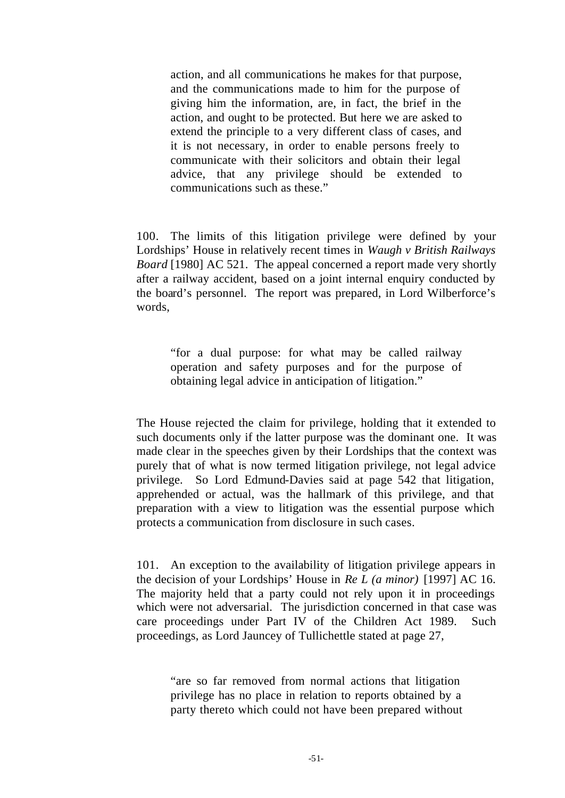action, and all communications he makes for that purpose, and the communications made to him for the purpose of giving him the information, are, in fact, the brief in the action, and ought to be protected. But here we are asked to extend the principle to a very different class of cases, and it is not necessary, in order to enable persons freely to communicate with their solicitors and obtain their legal advice, that any privilege should be extended to communications such as these."

100. The limits of this litigation privilege were defined by your Lordships' House in relatively recent times in *Waugh v British Railways Board* [1980] AC 521. The appeal concerned a report made very shortly after a railway accident, based on a joint internal enquiry conducted by the board's personnel. The report was prepared, in Lord Wilberforce's words,

"for a dual purpose: for what may be called railway operation and safety purposes and for the purpose of obtaining legal advice in anticipation of litigation."

The House rejected the claim for privilege, holding that it extended to such documents only if the latter purpose was the dominant one. It was made clear in the speeches given by their Lordships that the context was purely that of what is now termed litigation privilege, not legal advice privilege. So Lord Edmund-Davies said at page 542 that litigation, apprehended or actual, was the hallmark of this privilege, and that preparation with a view to litigation was the essential purpose which protects a communication from disclosure in such cases.

101. An exception to the availability of litigation privilege appears in the decision of your Lordships' House in *Re L (a minor)* [1997] AC 16. The majority held that a party could not rely upon it in proceedings which were not adversarial. The jurisdiction concerned in that case was care proceedings under Part IV of the Children Act 1989. Such proceedings, as Lord Jauncey of Tullichettle stated at page 27,

"are so far removed from normal actions that litigation privilege has no place in relation to reports obtained by a party thereto which could not have been prepared without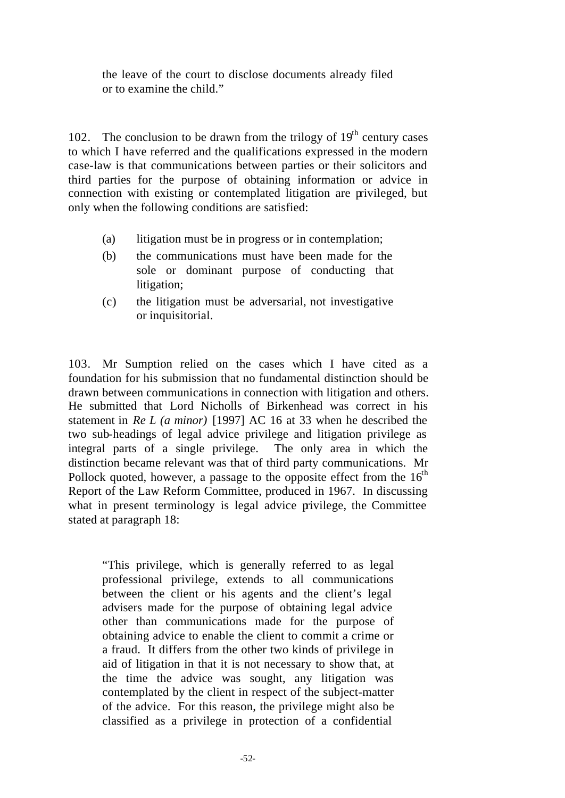the leave of the court to disclose documents already filed or to examine the child."

102. The conclusion to be drawn from the trilogy of  $19<sup>th</sup>$  century cases to which I have referred and the qualifications expressed in the modern case-law is that communications between parties or their solicitors and third parties for the purpose of obtaining information or advice in connection with existing or contemplated litigation are privileged, but only when the following conditions are satisfied:

- (a) litigation must be in progress or in contemplation;
- (b) the communications must have been made for the sole or dominant purpose of conducting that litigation;
- (c) the litigation must be adversarial, not investigative or inquisitorial.

103. Mr Sumption relied on the cases which I have cited as a foundation for his submission that no fundamental distinction should be drawn between communications in connection with litigation and others. He submitted that Lord Nicholls of Birkenhead was correct in his statement in *Re L (a minor)* [1997] AC 16 at 33 when he described the two sub-headings of legal advice privilege and litigation privilege as integral parts of a single privilege. The only area in which the distinction became relevant was that of third party communications. Mr Pollock quoted, however, a passage to the opposite effect from the  $16<sup>th</sup>$ Report of the Law Reform Committee, produced in 1967. In discussing what in present terminology is legal advice privilege, the Committee stated at paragraph 18:

"This privilege, which is generally referred to as legal professional privilege, extends to all communications between the client or his agents and the client's legal advisers made for the purpose of obtaining legal advice other than communications made for the purpose of obtaining advice to enable the client to commit a crime or a fraud. It differs from the other two kinds of privilege in aid of litigation in that it is not necessary to show that, at the time the advice was sought, any litigation was contemplated by the client in respect of the subject-matter of the advice. For this reason, the privilege might also be classified as a privilege in protection of a confidential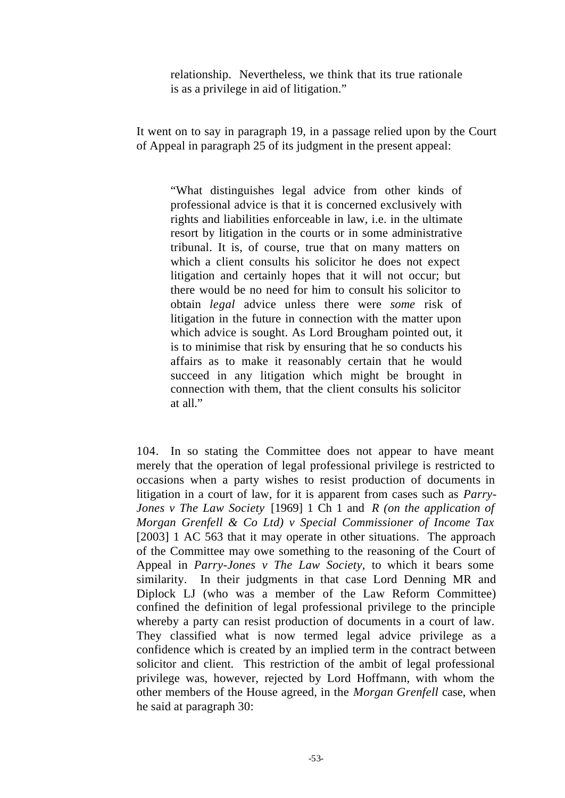relationship. Nevertheless, we think that its true rationale is as a privilege in aid of litigation."

It went on to say in paragraph 19, in a passage relied upon by the Court of Appeal in paragraph 25 of its judgment in the present appeal:

"What distinguishes legal advice from other kinds of professional advice is that it is concerned exclusively with rights and liabilities enforceable in law, i.e. in the ultimate resort by litigation in the courts or in some administrative tribunal. It is, of course, true that on many matters on which a client consults his solicitor he does not expect litigation and certainly hopes that it will not occur; but there would be no need for him to consult his solicitor to obtain *legal* advice unless there were *some* risk of litigation in the future in connection with the matter upon which advice is sought. As Lord Brougham pointed out, it is to minimise that risk by ensuring that he so conducts his affairs as to make it reasonably certain that he would succeed in any litigation which might be brought in connection with them, that the client consults his solicitor at all."

104. In so stating the Committee does not appear to have meant merely that the operation of legal professional privilege is restricted to occasions when a party wishes to resist production of documents in litigation in a court of law, for it is apparent from cases such as *Parry-Jones v The Law Society* [1969] 1 Ch 1 and *R (on the application of Morgan Grenfell & Co Ltd) v Special Commissioner of Income Tax*  [2003] 1 AC 563 that it may operate in other situations. The approach of the Committee may owe something to the reasoning of the Court of Appeal in *Parry-Jones v The Law Society,* to which it bears some similarity. In their judgments in that case Lord Denning MR and Diplock LJ (who was a member of the Law Reform Committee) confined the definition of legal professional privilege to the principle whereby a party can resist production of documents in a court of law. They classified what is now termed legal advice privilege as a confidence which is created by an implied term in the contract between solicitor and client. This restriction of the ambit of legal professional privilege was, however, rejected by Lord Hoffmann, with whom the other members of the House agreed, in the *Morgan Grenfell* case, when he said at paragraph 30: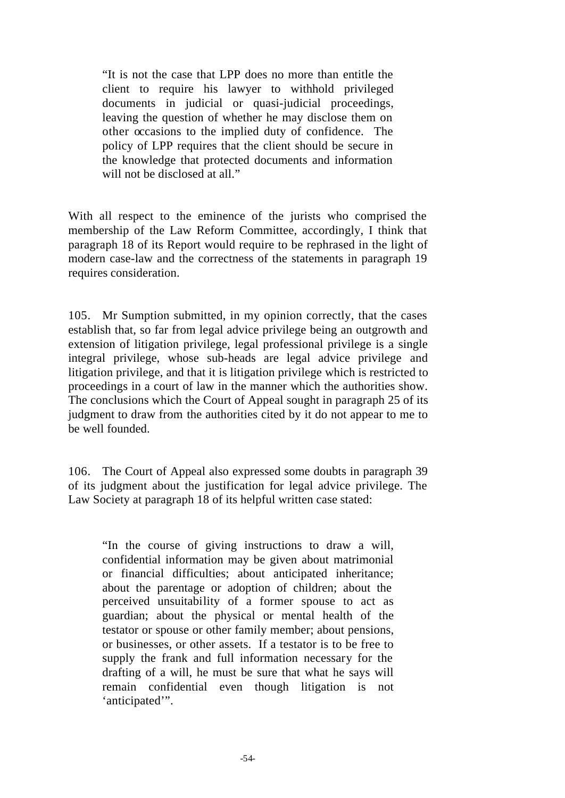"It is not the case that LPP does no more than entitle the client to require his lawyer to withhold privileged documents in judicial or quasi-judicial proceedings, leaving the question of whether he may disclose them on other occasions to the implied duty of confidence. The policy of LPP requires that the client should be secure in the knowledge that protected documents and information will not be disclosed at all."

With all respect to the eminence of the jurists who comprised the membership of the Law Reform Committee, accordingly, I think that paragraph 18 of its Report would require to be rephrased in the light of modern case-law and the correctness of the statements in paragraph 19 requires consideration.

105. Mr Sumption submitted, in my opinion correctly, that the cases establish that, so far from legal advice privilege being an outgrowth and extension of litigation privilege, legal professional privilege is a single integral privilege, whose sub-heads are legal advice privilege and litigation privilege, and that it is litigation privilege which is restricted to proceedings in a court of law in the manner which the authorities show. The conclusions which the Court of Appeal sought in paragraph 25 of its judgment to draw from the authorities cited by it do not appear to me to be well founded.

106. The Court of Appeal also expressed some doubts in paragraph 39 of its judgment about the justification for legal advice privilege. The Law Society at paragraph 18 of its helpful written case stated:

"In the course of giving instructions to draw a will, confidential information may be given about matrimonial or financial difficulties; about anticipated inheritance; about the parentage or adoption of children; about the perceived unsuitability of a former spouse to act as guardian; about the physical or mental health of the testator or spouse or other family member; about pensions, or businesses, or other assets. If a testator is to be free to supply the frank and full information necessary for the drafting of a will, he must be sure that what he says will remain confidential even though litigation is not 'anticipated'".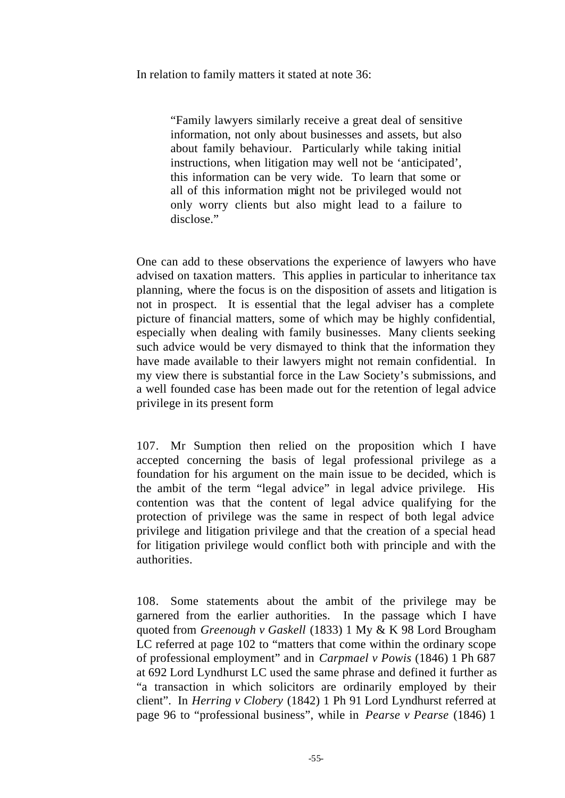In relation to family matters it stated at note 36:

"Family lawyers similarly receive a great deal of sensitive information, not only about businesses and assets, but also about family behaviour. Particularly while taking initial instructions, when litigation may well not be 'anticipated', this information can be very wide. To learn that some or all of this information might not be privileged would not only worry clients but also might lead to a failure to disclose."

One can add to these observations the experience of lawyers who have advised on taxation matters. This applies in particular to inheritance tax planning, where the focus is on the disposition of assets and litigation is not in prospect. It is essential that the legal adviser has a complete picture of financial matters, some of which may be highly confidential, especially when dealing with family businesses. Many clients seeking such advice would be very dismayed to think that the information they have made available to their lawyers might not remain confidential. In my view there is substantial force in the Law Society's submissions, and a well founded case has been made out for the retention of legal advice privilege in its present form

107. Mr Sumption then relied on the proposition which I have accepted concerning the basis of legal professional privilege as a foundation for his argument on the main issue to be decided, which is the ambit of the term "legal advice" in legal advice privilege. His contention was that the content of legal advice qualifying for the protection of privilege was the same in respect of both legal advice privilege and litigation privilege and that the creation of a special head for litigation privilege would conflict both with principle and with the authorities.

108. Some statements about the ambit of the privilege may be garnered from the earlier authorities. In the passage which I have quoted from *Greenough v Gaskell* (1833) 1 My & K 98 Lord Brougham LC referred at page 102 to "matters that come within the ordinary scope of professional employment" and in *Carpmael v Powis* (1846) 1 Ph 687 at 692 Lord Lyndhurst LC used the same phrase and defined it further as "a transaction in which solicitors are ordinarily employed by their client". In *Herring v Clobery* (1842) 1 Ph 91 Lord Lyndhurst referred at page 96 to "professional business", while in *Pearse v Pearse* (1846) 1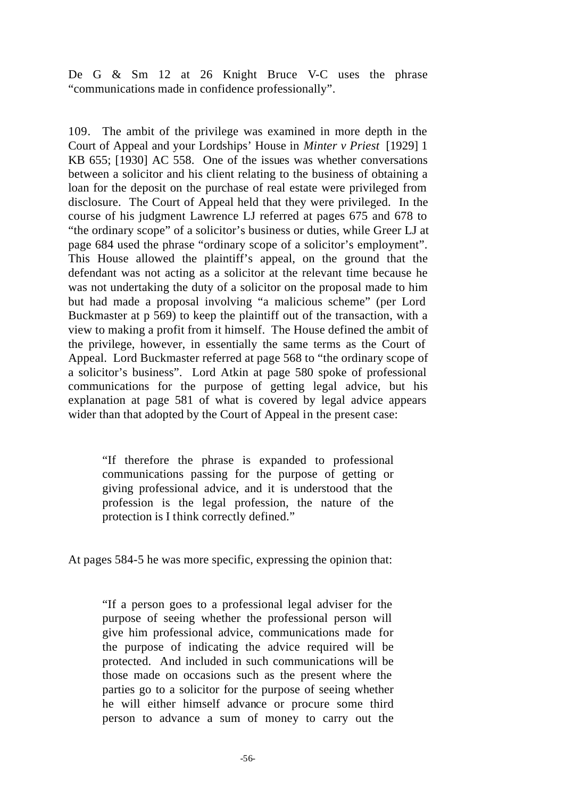De G & Sm 12 at 26 Knight Bruce V-C uses the phrase "communications made in confidence professionally".

109. The ambit of the privilege was examined in more depth in the Court of Appeal and your Lordships' House in *Minter v Priest* [1929] 1 KB 655; [1930] AC 558. One of the issues was whether conversations between a solicitor and his client relating to the business of obtaining a loan for the deposit on the purchase of real estate were privileged from disclosure. The Court of Appeal held that they were privileged. In the course of his judgment Lawrence LJ referred at pages 675 and 678 to "the ordinary scope" of a solicitor's business or duties, while Greer LJ at page 684 used the phrase "ordinary scope of a solicitor's employment". This House allowed the plaintiff's appeal, on the ground that the defendant was not acting as a solicitor at the relevant time because he was not undertaking the duty of a solicitor on the proposal made to him but had made a proposal involving "a malicious scheme" (per Lord Buckmaster at p 569) to keep the plaintiff out of the transaction, with a view to making a profit from it himself. The House defined the ambit of the privilege, however, in essentially the same terms as the Court of Appeal. Lord Buckmaster referred at page 568 to "the ordinary scope of a solicitor's business". Lord Atkin at page 580 spoke of professional communications for the purpose of getting legal advice, but his explanation at page 581 of what is covered by legal advice appears wider than that adopted by the Court of Appeal in the present case:

"If therefore the phrase is expanded to professional communications passing for the purpose of getting or giving professional advice, and it is understood that the profession is the legal profession, the nature of the protection is I think correctly defined."

At pages 584-5 he was more specific, expressing the opinion that:

"If a person goes to a professional legal adviser for the purpose of seeing whether the professional person will give him professional advice, communications made for the purpose of indicating the advice required will be protected. And included in such communications will be those made on occasions such as the present where the parties go to a solicitor for the purpose of seeing whether he will either himself advance or procure some third person to advance a sum of money to carry out the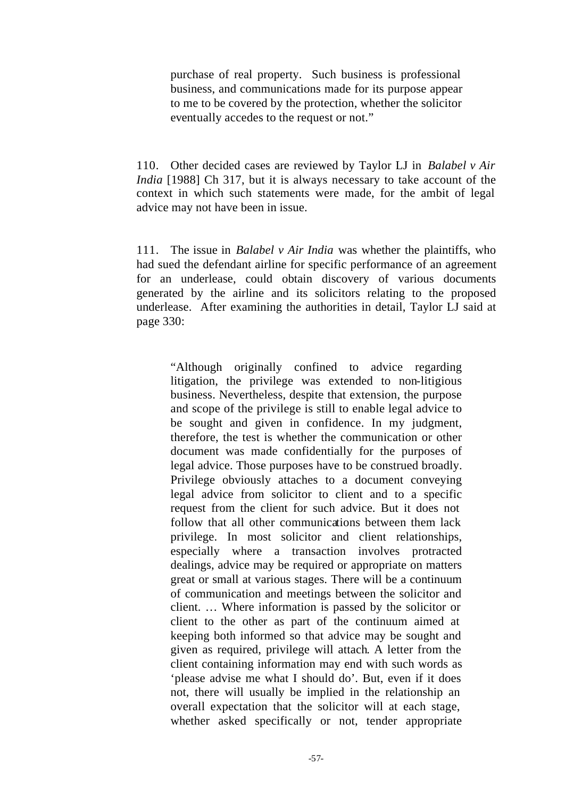purchase of real property. Such business is professional business, and communications made for its purpose appear to me to be covered by the protection, whether the solicitor eventually accedes to the request or not."

110. Other decided cases are reviewed by Taylor LJ in *Balabel v Air India* [1988] Ch 317, but it is always necessary to take account of the context in which such statements were made, for the ambit of legal advice may not have been in issue.

111. The issue in *Balabel v Air India* was whether the plaintiffs, who had sued the defendant airline for specific performance of an agreement for an underlease, could obtain discovery of various documents generated by the airline and its solicitors relating to the proposed underlease. After examining the authorities in detail, Taylor LJ said at page 330:

"Although originally confined to advice regarding litigation, the privilege was extended to non-litigious business. Nevertheless, despite that extension, the purpose and scope of the privilege is still to enable legal advice to be sought and given in confidence. In my judgment, therefore, the test is whether the communication or other document was made confidentially for the purposes of legal advice. Those purposes have to be construed broadly. Privilege obviously attaches to a document conveying legal advice from solicitor to client and to a specific request from the client for such advice. But it does not follow that all other communications between them lack privilege. In most solicitor and client relationships, especially where a transaction involves protracted dealings, advice may be required or appropriate on matters great or small at various stages. There will be a continuum of communication and meetings between the solicitor and client. … Where information is passed by the solicitor or client to the other as part of the continuum aimed at keeping both informed so that advice may be sought and given as required, privilege will attach. A letter from the client containing information may end with such words as 'please advise me what I should do'. But, even if it does not, there will usually be implied in the relationship an overall expectation that the solicitor will at each stage, whether asked specifically or not, tender appropriate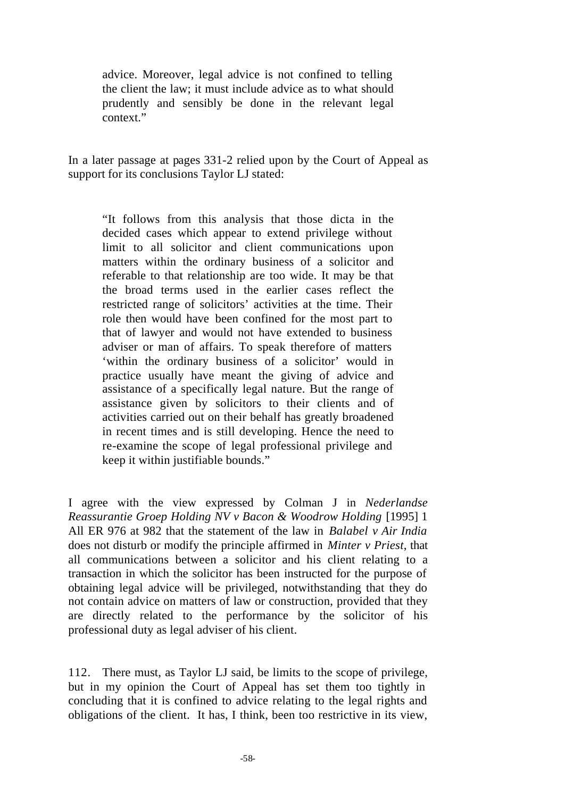advice. Moreover, legal advice is not confined to telling the client the law; it must include advice as to what should prudently and sensibly be done in the relevant legal context."

In a later passage at pages 331-2 relied upon by the Court of Appeal as support for its conclusions Taylor LJ stated:

"It follows from this analysis that those dicta in the decided cases which appear to extend privilege without limit to all solicitor and client communications upon matters within the ordinary business of a solicitor and referable to that relationship are too wide. It may be that the broad terms used in the earlier cases reflect the restricted range of solicitors' activities at the time. Their role then would have been confined for the most part to that of lawyer and would not have extended to business adviser or man of affairs. To speak therefore of matters 'within the ordinary business of a solicitor' would in practice usually have meant the giving of advice and assistance of a specifically legal nature. But the range of assistance given by solicitors to their clients and of activities carried out on their behalf has greatly broadened in recent times and is still developing. Hence the need to re-examine the scope of legal professional privilege and keep it within justifiable bounds."

I agree with the view expressed by Colman J in *Nederlandse Reassurantie Groep Holding NV v Bacon & Woodrow Holding* [1995] 1 All ER 976 at 982 that the statement of the law in *Balabel v Air India*  does not disturb or modify the principle affirmed in *Minter v Priest*, that all communications between a solicitor and his client relating to a transaction in which the solicitor has been instructed for the purpose of obtaining legal advice will be privileged, notwithstanding that they do not contain advice on matters of law or construction, provided that they are directly related to the performance by the solicitor of his professional duty as legal adviser of his client.

112. There must, as Taylor LJ said, be limits to the scope of privilege, but in my opinion the Court of Appeal has set them too tightly in concluding that it is confined to advice relating to the legal rights and obligations of the client. It has, I think, been too restrictive in its view,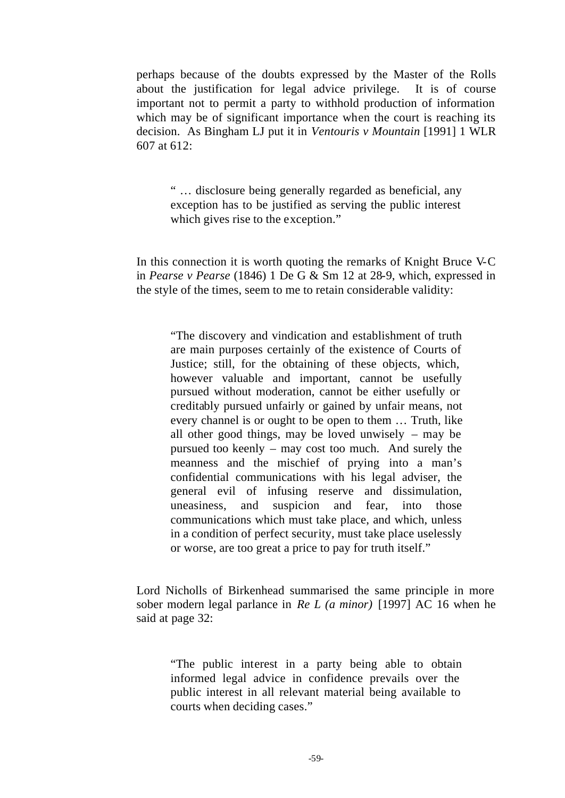perhaps because of the doubts expressed by the Master of the Rolls about the justification for legal advice privilege. It is of course important not to permit a party to withhold production of information which may be of significant importance when the court is reaching its decision. As Bingham LJ put it in *Ventouris v Mountain* [1991] 1 WLR 607 at 612:

" … disclosure being generally regarded as beneficial, any exception has to be justified as serving the public interest which gives rise to the exception."

In this connection it is worth quoting the remarks of Knight Bruce V-C in *Pearse v Pearse* (1846) 1 De G & Sm 12 at 28-9, which, expressed in the style of the times, seem to me to retain considerable validity:

"The discovery and vindication and establishment of truth are main purposes certainly of the existence of Courts of Justice; still, for the obtaining of these objects, which, however valuable and important, cannot be usefully pursued without moderation, cannot be either usefully or creditably pursued unfairly or gained by unfair means, not every channel is or ought to be open to them … Truth, like all other good things, may be loved unwisely – may be pursued too keenly – may cost too much. And surely the meanness and the mischief of prying into a man's confidential communications with his legal adviser, the general evil of infusing reserve and dissimulation, uneasiness, and suspicion and fear, into those communications which must take place, and which, unless in a condition of perfect security, must take place uselessly or worse, are too great a price to pay for truth itself."

Lord Nicholls of Birkenhead summarised the same principle in more sober modern legal parlance in *Re L (a minor)* [1997] AC 16 when he said at page 32:

"The public interest in a party being able to obtain informed legal advice in confidence prevails over the public interest in all relevant material being available to courts when deciding cases."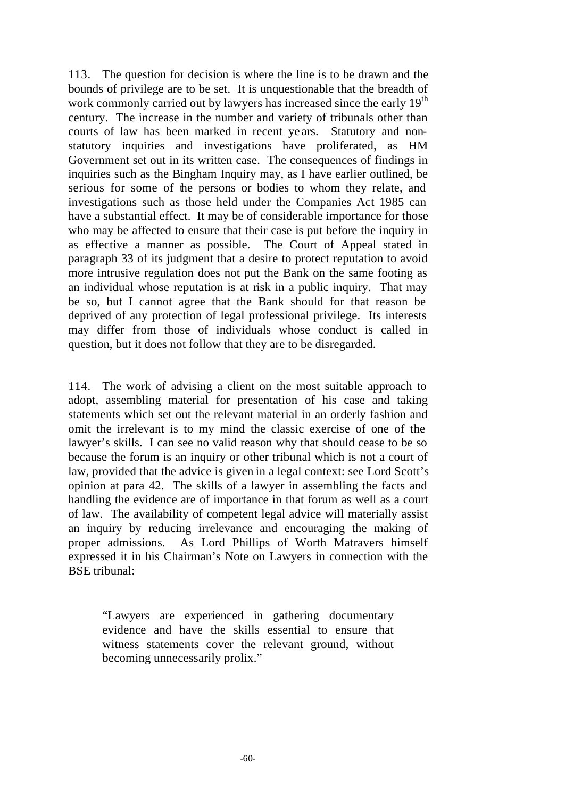113. The question for decision is where the line is to be drawn and the bounds of privilege are to be set. It is unquestionable that the breadth of work commonly carried out by lawyers has increased since the early 19<sup>th</sup> century. The increase in the number and variety of tribunals other than courts of law has been marked in recent ye ars. Statutory and nonstatutory inquiries and investigations have proliferated, as HM Government set out in its written case. The consequences of findings in inquiries such as the Bingham Inquiry may, as I have earlier outlined, be serious for some of the persons or bodies to whom they relate, and investigations such as those held under the Companies Act 1985 can have a substantial effect. It may be of considerable importance for those who may be affected to ensure that their case is put before the inquiry in as effective a manner as possible. The Court of Appeal stated in paragraph 33 of its judgment that a desire to protect reputation to avoid more intrusive regulation does not put the Bank on the same footing as an individual whose reputation is at risk in a public inquiry. That may be so, but I cannot agree that the Bank should for that reason be deprived of any protection of legal professional privilege. Its interests may differ from those of individuals whose conduct is called in question, but it does not follow that they are to be disregarded.

114. The work of advising a client on the most suitable approach to adopt, assembling material for presentation of his case and taking statements which set out the relevant material in an orderly fashion and omit the irrelevant is to my mind the classic exercise of one of the lawyer's skills. I can see no valid reason why that should cease to be so because the forum is an inquiry or other tribunal which is not a court of law, provided that the advice is given in a legal context: see Lord Scott's opinion at para 42. The skills of a lawyer in assembling the facts and handling the evidence are of importance in that forum as well as a court of law. The availability of competent legal advice will materially assist an inquiry by reducing irrelevance and encouraging the making of proper admissions. As Lord Phillips of Worth Matravers himself expressed it in his Chairman's Note on Lawyers in connection with the BSE tribunal:

"Lawyers are experienced in gathering documentary evidence and have the skills essential to ensure that witness statements cover the relevant ground, without becoming unnecessarily prolix."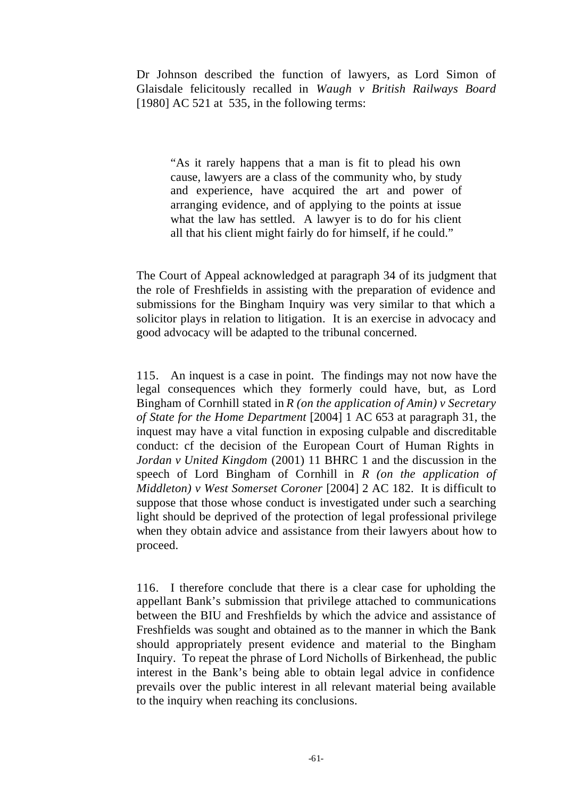Dr Johnson described the function of lawyers, as Lord Simon of Glaisdale felicitously recalled in *Waugh v British Railways Board* [1980] AC 521 at 535, in the following terms:

"As it rarely happens that a man is fit to plead his own cause, lawyers are a class of the community who, by study and experience, have acquired the art and power of arranging evidence, and of applying to the points at issue what the law has settled. A lawyer is to do for his client all that his client might fairly do for himself, if he could."

The Court of Appeal acknowledged at paragraph 34 of its judgment that the role of Freshfields in assisting with the preparation of evidence and submissions for the Bingham Inquiry was very similar to that which a solicitor plays in relation to litigation. It is an exercise in advocacy and good advocacy will be adapted to the tribunal concerned.

115. An inquest is a case in point. The findings may not now have the legal consequences which they formerly could have, but, as Lord Bingham of Cornhill stated in *R (on the application of Amin) v Secretary of State for the Home Department* [2004] 1 AC 653 at paragraph 31, the inquest may have a vital function in exposing culpable and discreditable conduct: cf the decision of the European Court of Human Rights in *Jordan v United Kingdom* (2001) 11 BHRC 1 and the discussion in the speech of Lord Bingham of Cornhill in *R (on the application of Middleton) v West Somerset Coroner* [2004] 2 AC 182. It is difficult to suppose that those whose conduct is investigated under such a searching light should be deprived of the protection of legal professional privilege when they obtain advice and assistance from their lawyers about how to proceed.

116. I therefore conclude that there is a clear case for upholding the appellant Bank's submission that privilege attached to communications between the BIU and Freshfields by which the advice and assistance of Freshfields was sought and obtained as to the manner in which the Bank should appropriately present evidence and material to the Bingham Inquiry. To repeat the phrase of Lord Nicholls of Birkenhead, the public interest in the Bank's being able to obtain legal advice in confidence prevails over the public interest in all relevant material being available to the inquiry when reaching its conclusions.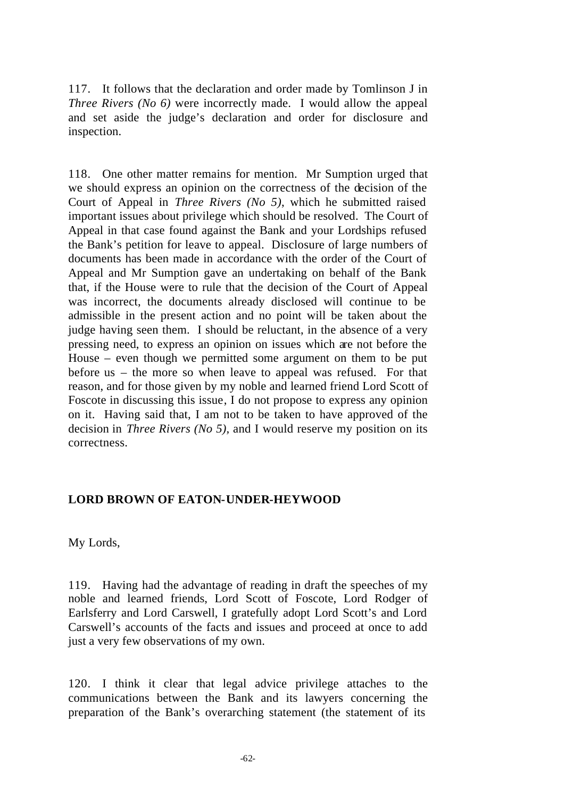117. It follows that the declaration and order made by Tomlinson J in *Three Rivers (No 6)* were incorrectly made. I would allow the appeal and set aside the judge's declaration and order for disclosure and inspection.

118. One other matter remains for mention. Mr Sumption urged that we should express an opinion on the correctness of the decision of the Court of Appeal in *Three Rivers (No 5)*, which he submitted raised important issues about privilege which should be resolved. The Court of Appeal in that case found against the Bank and your Lordships refused the Bank's petition for leave to appeal.Disclosure of large numbers of documents has been made in accordance with the order of the Court of Appeal and Mr Sumption gave an undertaking on behalf of the Bank that, if the House were to rule that the decision of the Court of Appeal was incorrect, the documents already disclosed will continue to be admissible in the present action and no point will be taken about the judge having seen them. I should be reluctant, in the absence of a very pressing need, to express an opinion on issues which are not before the House – even though we permitted some argument on them to be put before us – the more so when leave to appeal was refused. For that reason, and for those given by my noble and learned friend Lord Scott of Foscote in discussing this issue, I do not propose to express any opinion on it. Having said that, I am not to be taken to have approved of the decision in *Three Rivers (No 5),* and I would reserve my position on its correctness.

### **LORD BROWN OF EATON-UNDER-HEYWOOD**

My Lords,

119. Having had the advantage of reading in draft the speeches of my noble and learned friends, Lord Scott of Foscote, Lord Rodger of Earlsferry and Lord Carswell, I gratefully adopt Lord Scott's and Lord Carswell's accounts of the facts and issues and proceed at once to add just a very few observations of my own.

120. I think it clear that legal advice privilege attaches to the communications between the Bank and its lawyers concerning the preparation of the Bank's overarching statement (the statement of its